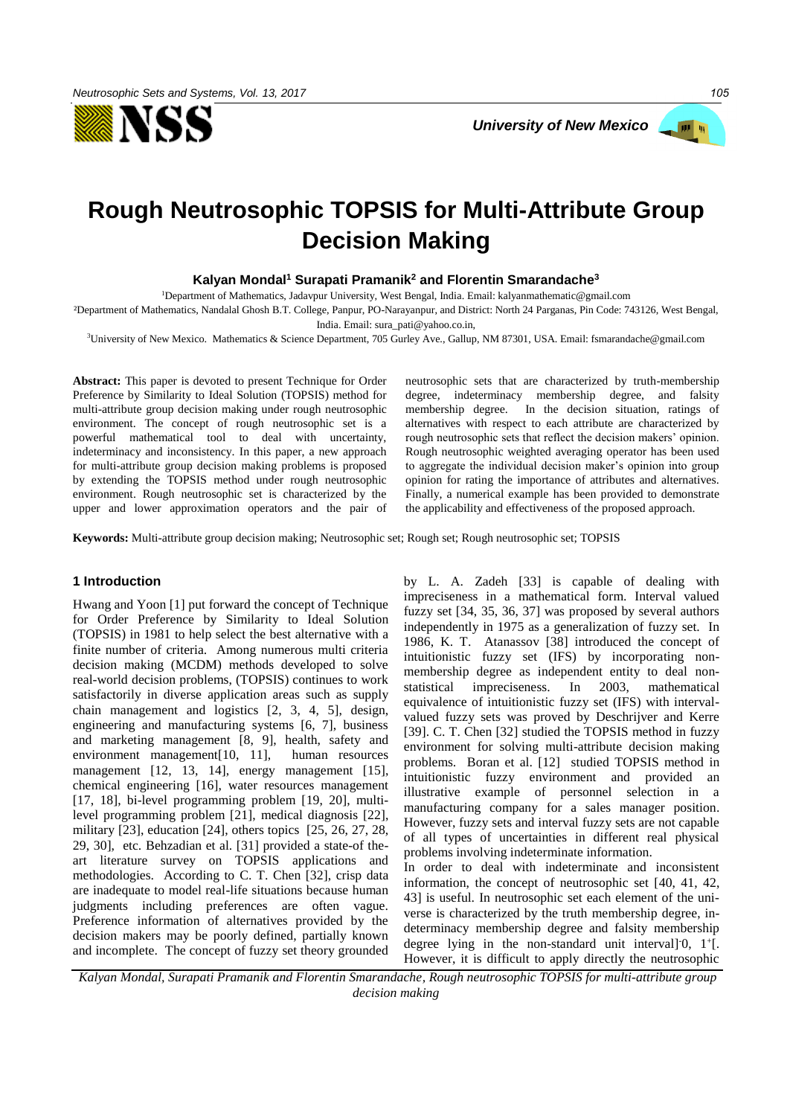



# **Rough Neutrosophic TOPSIS for Multi-Attribute Group Decision Making**

**Kalyan Mondal<sup>1</sup> Surapati Pramanik<sup>2</sup> and Florentin Smarandache<sup>3</sup>**

<sup>1</sup>Department of Mathematics, Jadavpur University, West Bengal, India. Email: kalyanmathematic@gmail.com

²Department of Mathematics, Nandalal Ghosh B.T. College, Panpur, PO-Narayanpur, and District: North 24 Parganas, Pin Code: 743126, West Bengal, India. Email[: sura\\_pati@yahoo.co.in,](mailto:sura_pati@yahoo.co.in) 

<sup>3</sup>University of New Mexico. Mathematics & Science Department, 705 Gurley Ave., Gallup, NM 87301, USA. Email: fsmarandache@gmail.com

**Abstract:** This paper is devoted to present Technique for Order Preference by Similarity to Ideal Solution (TOPSIS) method for multi-attribute group decision making under rough neutrosophic environment. The concept of rough neutrosophic set is a powerful mathematical tool to deal with uncertainty, indeterminacy and inconsistency. In this paper, a new approach for multi-attribute group decision making problems is proposed by extending the TOPSIS method under rough neutrosophic environment. Rough neutrosophic set is characterized by the upper and lower approximation operators and the pair of neutrosophic sets that are characterized by truth-membership degree, indeterminacy membership degree, and falsity membership degree. In the decision situation, ratings of alternatives with respect to each attribute are characterized by rough neutrosophic sets that reflect the decision makers' opinion. Rough neutrosophic weighted averaging operator has been used to aggregate the individual decision maker's opinion into group opinion for rating the importance of attributes and alternatives. Finally, a numerical example has been provided to demonstrate the applicability and effectiveness of the proposed approach.

**Keywords:** Multi-attribute group decision making; Neutrosophic set; Rough set; Rough neutrosophic set; TOPSIS

#### **1 Introduction**

Hwang and Yoon [1] put forward the concept of Technique for Order Preference by Similarity to Ideal Solution (TOPSIS) in 1981 to help select the best alternative with a finite number of criteria. Among numerous multi criteria decision making (MCDM) methods developed to solve real-world decision problems, (TOPSIS) continues to work satisfactorily in diverse application areas such as supply chain management and logistics [2, 3, 4, 5], design, engineering and manufacturing systems [6, 7], business and marketing management [8, 9], health, safety and environment management[10, 11], human resources management [12, 13, 14], energy management [15], chemical engineering [16], water resources management [17, 18], bi-level programming problem [19, 20], multilevel programming problem [21], medical diagnosis [22], military [23], education [24], others topics [25, 26, 27, 28, 29, 30], etc. Behzadian et al. [31] provided a state-of theart literature survey on TOPSIS applications and methodologies. According to C. T. Chen [32], crisp data are inadequate to model real-life situations because human judgments including preferences are often vague. Preference information of alternatives provided by the decision makers may be poorly defined, partially known and incomplete. The concept of fuzzy set theory grounded by L. A. Zadeh [33] is capable of dealing with impreciseness in a mathematical form. Interval valued fuzzy set [34, 35, 36, 37] was proposed by several authors independently in 1975 as a generalization of fuzzy set. In 1986, K. T. Atanassov [38] introduced the concept of intuitionistic fuzzy set (IFS) by incorporating nonmembership degree as independent entity to deal nonstatistical impreciseness. In 2003, mathematical equivalence of intuitionistic fuzzy set (IFS) with intervalvalued fuzzy sets was proved by Deschrijver and Kerre [39]. C. T. Chen [32] studied the TOPSIS method in fuzzy environment for solving multi-attribute decision making problems. Boran et al. [12] studied TOPSIS method in intuitionistic fuzzy environment and provided an illustrative example of personnel selection in a manufacturing company for a sales manager position. However, fuzzy sets and interval fuzzy sets are not capable of all types of uncertainties in different real physical problems involving indeterminate information.

In order to deal with indeterminate and inconsistent information, the concept of neutrosophic set [40, 41, 42, 43] is useful. In neutrosophic set each element of the universe is characterized by the truth membership degree, indeterminacy membership degree and falsity membership degree lying in the non-standard unit interval] $0$ ,  $1^{+}$ [. However, it is difficult to apply directly the neutrosophic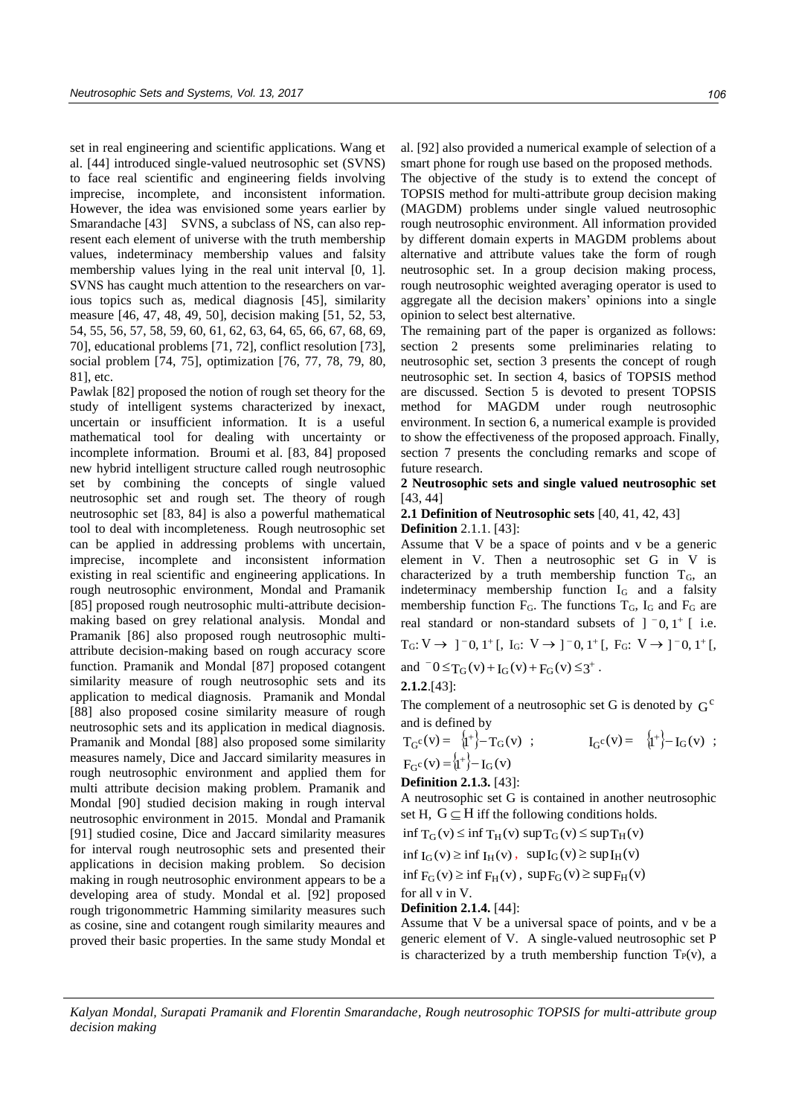set in real engineering and scientific applications. Wang et al. [44] introduced single-valued neutrosophic set (SVNS) to face real scientific and engineering fields involving imprecise, incomplete, and inconsistent information. However, the idea was envisioned some years earlier by Smarandache [43] SVNS, a subclass of NS, can also represent each element of universe with the truth membership values, indeterminacy membership values and falsity membership values lying in the real unit interval [0, 1]. SVNS has caught much attention to the researchers on various topics such as, medical diagnosis [45], similarity measure [46, 47, 48, 49, 50], decision making [51, 52, 53, 54, 55, 56, 57, 58, 59, 60, 61, 62, 63, 64, 65, 66, 67, 68, 69, 70], educational problems [71, 72], conflict resolution [73], social problem [74, 75], optimization [76, 77, 78, 79, 80, 81], etc.

Pawlak [82] proposed the notion of rough set theory for the study of intelligent systems characterized by inexact, uncertain or insufficient information. It is a useful mathematical tool for dealing with uncertainty or incomplete information. Broumi et al. [83, 84] proposed new hybrid intelligent structure called rough neutrosophic set by combining the concepts of single valued neutrosophic set and rough set. The theory of rough neutrosophic set [83, 84] is also a powerful mathematical tool to deal with incompleteness. Rough neutrosophic set can be applied in addressing problems with uncertain, imprecise, incomplete and inconsistent information existing in real scientific and engineering applications. In rough neutrosophic environment, Mondal and Pramanik [85] proposed rough neutrosophic multi-attribute decisionmaking based on grey relational analysis. Mondal and Pramanik [86] also proposed rough neutrosophic multiattribute decision-making based on rough accuracy score function. Pramanik and Mondal [87] proposed cotangent similarity measure of rough neutrosophic sets and its application to medical diagnosis. Pramanik and Mondal [88] also proposed cosine similarity measure of rough neutrosophic sets and its application in medical diagnosis. Pramanik and Mondal [88] also proposed some similarity measures namely, Dice and Jaccard similarity measures in rough neutrosophic environment and applied them for multi attribute decision making problem. Pramanik and Mondal [90] studied decision making in rough interval neutrosophic environment in 2015. Mondal and Pramanik [91] studied cosine, Dice and Jaccard similarity measures for interval rough neutrosophic sets and presented their applications in decision making problem. So decision making in rough neutrosophic environment appears to be a developing area of study. Mondal et al. [92] proposed rough trigonommetric Hamming similarity measures such as cosine, sine and cotangent rough similarity meaures and proved their basic properties. In the same study Mondal et al. [92] also provided a numerical example of selection of a smart phone for rough use based on the proposed methods.

The objective of the study is to extend the concept of TOPSIS method for multi-attribute group decision making (MAGDM) problems under single valued neutrosophic rough neutrosophic environment. All information provided by different domain experts in MAGDM problems about alternative and attribute values take the form of rough neutrosophic set. In a group decision making process, rough neutrosophic weighted averaging operator is used to aggregate all the decision makers' opinions into a single opinion to select best alternative.

The remaining part of the paper is organized as follows: section 2 presents some preliminaries relating to neutrosophic set, section 3 presents the concept of rough neutrosophic set. In section 4, basics of TOPSIS method are discussed. Section 5 is devoted to present TOPSIS method for MAGDM under rough neutrosophic environment. In section 6, a numerical example is provided to show the effectiveness of the proposed approach. Finally, section 7 presents the concluding remarks and scope of future research.

**2 Neutrosophic sets and single valued neutrosophic set**  [43, 44]

# **2.1 Definition of Neutrosophic sets** [40, 41, 42, 43]

#### **Definition** 2.1.1. [43]:

Assume that V be a space of points and v be a generic element in V. Then a neutrosophic set G in V is characterized by a truth membership function  $T<sub>G</sub>$ , an indeterminacy membership function IG and a falsity membership function  $F_G$ . The functions  $T_G$ ,  $I_G$  and  $F_G$  are real standard or non-standard subsets of  $]$   $^-$ 0, 1<sup>+</sup> [ i.e.  $T_G: V \to ]^-0, 1^+ [$ , I<sub>G</sub>:  $V \to ]^-0, 1^+ [$ , F<sub>G</sub>:  $V \to ]^-0, 1^+ [$ ,

and  $^-0 \leq T_G(v) + I_G(v) + F_G(v) \leq 3^+$ .

#### **2.1.2**.[43]:

The complement of a neutrosophic set G is denoted by  $G^c$ and is defined by

$$
T_{G}c(v) = \{i^{+}\} - T_{G}(v) ;
$$
  
\n
$$
F_{G}c(v) = \{i^{+}\} - I_{G}(v)
$$
  
\n
$$
T_{G}c(v) = \{i^{+}\} - I_{G}(v)
$$

**Definition 2.1.3.** [43]:

A neutrosophic set G is contained in another neutrosophic set H,  $G \subseteq H$  iff the following conditions holds.

 $\inf T_G(v) \leq \inf T_H(v) \sup T_G(v) \leq \sup T_H(v)$ 

$$
\inf I_G(v) \geq \inf I_H(v)\,,\ \ \sup I_G(v) \geq \sup I_H(v)
$$

$$
\inf F_G(v) \ge \inf F_H(v), \sup F_G(v) \ge \sup F_H(v)
$$

for all v in V.

#### **Definition 2.1.4.** [44]:

Assume that V be a universal space of points, and v be a generic element of V. A single-valued neutrosophic set P is characterized by a truth membership function  $T_P(v)$ , a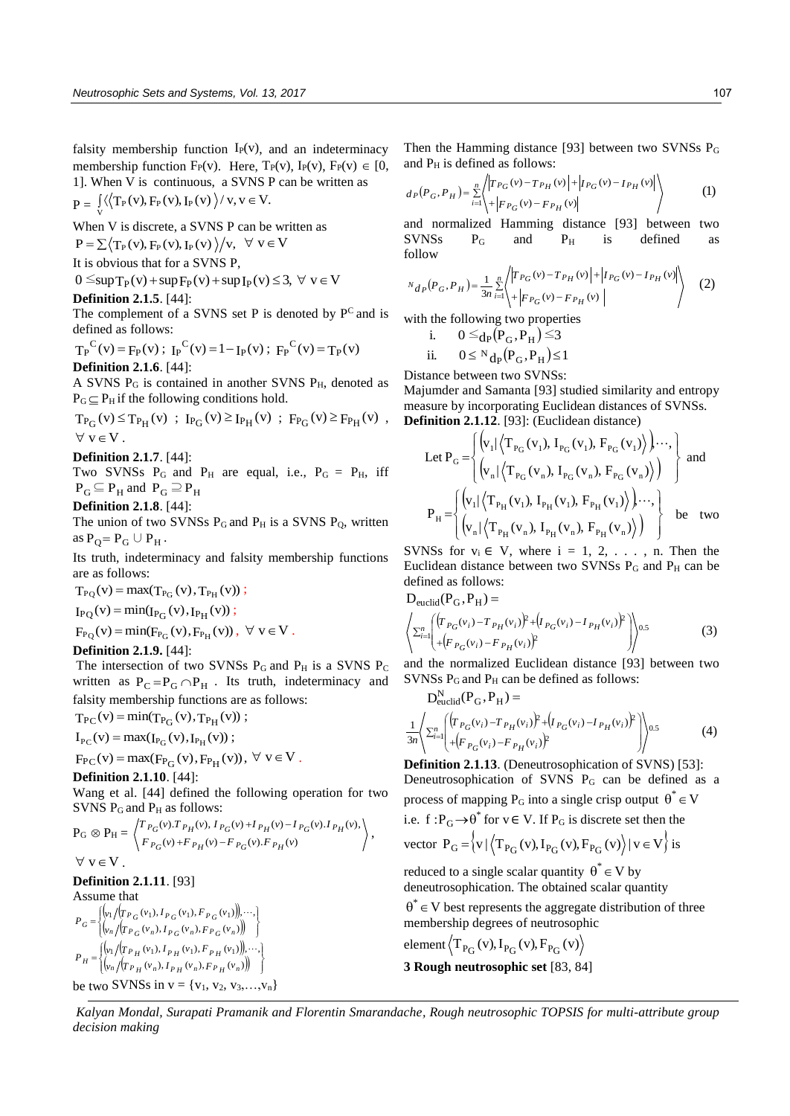falsity membership function  $I_P(v)$ , and an indeterminacy membership function  $F_P(v)$ . Here,  $T_P(v)$ ,  $I_P(v)$ ,  $F_P(v) \in [0,$ 1]. When V is continuous, a SVNS P can be written as  $P = \int_{V} \langle \langle T_P(v), F_P(v), I_P(v) \rangle / v, v \in V.$ 

When V is discrete, a SVNS P can be written as

$$
P = \sum \langle T_P(v), F_P(v), I_P(v) \rangle / v, \ \forall \ v \in V
$$

It is obvious that for a SVNS P,

$$
0 \leq \sup T_P(v) + \sup F_P(v) + \sup I_P(v) \leq 3, \ \forall \ v \in V
$$

#### **Definition 2.1.5**. [44]:

The complement of a SVNS set P is denoted by  $P^C$  and is defined as follows:

$$
T_P^C(v) = F_P(v)
$$
;  $I_P^C(v) = 1 - I_P(v)$ ;  $F_P^C(v) = T_P(v)$   
**Definition 2.1.6**. [44]:

A SVNS  $P_G$  is contained in another SVNS  $P_H$ , denoted as  $P_G \subseteq P_H$  if the following conditions hold.

$$
\begin{array}{l} T_{P_G}(v) \!\leq\! T_{P_H}(v) \ ; \ I_{P_G}(v) \!\geq\! I_{P_H}(v) \ ; \ F_{P_G}(v) \!\geq\! F_{P_H}(v) \ , \\ \forall \ v \in \!V \ . \end{array}
$$

**Definition 2.1.7**. [44]:

Two SVNSs  $P_G$  and  $P_H$  are equal, i.e.,  $P_G = P_H$ , iff  $P_G \subseteq P_H$  and  $P_G \supseteq P_H$ 

**Definition 2.1.8**. [44]:

The union of two SVNSs  $P_G$  and  $P_H$  is a SVNS  $P_Q$ , written as  $P_Q = P_G \cup P_H$ .

Its truth, indeterminacy and falsity membership functions are as follows:

 $T_{PQ}(v) = \max(T_{P_G}(v), T_{P_H}(v))$ ;

 $I_{PQ}(v) = min(I_{P_G}(v), I_{P_H}(v));$ 

$$
F_{PQ}(v)=min(F_{P_G}(v),F_{P_H}(v))\,,\ \forall\ v\in V\;.
$$

### **Definition 2.1.9.** [44]:

The intersection of two SVNSs  $P_G$  and  $P_H$  is a SVNS  $P_C$ written as  $P_C = P_G \cap P_H$ . Its truth, indeterminacy and falsity membership functions are as follows:

$$
T_{PC}(v) = min(T_{P_G}(v), T_{P_H}(v));
$$
  
\n
$$
I_{PC}(v) = max(I_{P_G}(v), I_{P_H}(v));
$$

$$
F_{PC}(v) = \max(F_{P_G}(v), F_{P_H}(v)), \ \forall \ v \in V.
$$

## **Definition 2.1.10**. [44]:

Wang et al. [44] defined the following operation for two SVNS  $P_G$  and  $P_H$  as follows:

$$
P_G \otimes P_H = \begin{Bmatrix} T_{P_G}(v). T_{P_H}(v), I_{P_G}(v) + I_{P_H}(v) - I_{P_G}(v). I_{P_H}(v), \\ F_{P_G}(v) + F_{P_H}(v) - F_{P_G}(v). F_{P_H}(v) \end{Bmatrix},
$$
  

$$
\forall v \in V.
$$

# **Definition 2.1.11**. [93]

Assume that  $\left\{ \psi_1 / (T_{P,C}(v_1), I_{P,C}(v_1), F_{P,C}(v_1)) \right\},$  $\left[ \psi_n / (T_{P_G}(v_n), I_{P_G}(v_n), F_{P_G}(v_n)) \right]$  $\left\{ \right.$  $\mathbf{I}$  $\mathfrak{l}$  $\left\{\right\}$  $=\begin{cases}\n\left( v_1 / (T_{P_G}(v_1), I_{P_G}(v_1), F_{P_G}(v_1)) \right) \\
\left( v_n / (T_{P_G}(v_n), I_{P_G}(v_n), F_{P_G}(v_n)) \right)\n\end{cases}$  $\frac{1}{T}$   $\left( \frac{r_1}{r_G}(v_1), I_{P_G}(v_1), F_{P_G}(v_1) \right), \cdots,$  $P_n / (I'P_G(V_n), I'P_G(V_n), F'P_G(V_n))$  $G = \begin{cases} v_1/(P_{G} (v_1), P_{G} (v_1), P_{G} (v_1)) \\ v_n/(P_{G} (v_n), P_{G} (v_n), F_{G} (v_n)) \end{cases}$  $P_G = \left\{ \begin{pmatrix} v_1 / (T_{P_G}(v_1), I_{P_G}(v_1), F_{P_G}(v_1)) & \cdots \\ (I_{P_G}(v_1), I_{P_G}(v_1)) & \cdots \end{pmatrix} \right\}$  $\left\{ \sqrt{r_{PU}(v_1)}, I_{PU}(v_1), F_{PU}(v_1) \right\},$  $\left[ \psi_n / (T_{P_H}(v_n), I_{P_H}(v_n), F_{P_H}(v_n)) \right]$  $\left\{ \right.$ ľ  $=\begin{cases}\n\left( v_1 / (T_{P_H}(v_1), I_{P_H}(v_1), F_{P_H}(v_1)) \right) \\
\left( v_n / (T_{P_H}(v_n), I_{P_H}(v_n), F_{P_H}(v_n)) \right)\n\end{cases}$  $\mathbb{P}_1/[T_{P_H}(v_1), I_{P_H}(v_1), F_{P_H}(v_1)], \cdots,$  $n / (P_H (V_n), P_H (V_n), P_P (V_n))$  $H = \begin{cases} v_1/(T_{P_H}(v_1), I_{P_H}(v_1), F_{P_H}(v_1)) \\ v_n/(T_{P_H}(v_n), I_{P_H}(v_n), F_{P_H}(v_1)) \end{cases}$  $P_H = \left\{ \begin{pmatrix} v_1 / (T P_H(v_1), I_{P_H(v_1)}, F_{P_H(v_1)}) \end{pmatrix}, \cdots \right\}$ be two SVNSs in  $v = \{v_1, v_2, v_3, ..., v_n\}$  Then the Hamming distance [93] between two SVNSs  $P_G$ 

and 
$$
P_H
$$
 is defined as follows:  
\n
$$
d_P(P_G, P_H) = \sum_{i=1}^{n} \left\langle \left| T_{P_G}(v) - T_{P_H}(v) \right| + \left| I_{P_G}(v) - I_{P_H}(v) \right| \right\rangle
$$
\n
$$
(1)
$$

and normalized Hamming distance [93] between two  $SVNSs$   $P_G$  and  $P_H$  is defined as follow

$$
N_{d_P}(P_G, P_H) = \frac{1}{3n} \sum_{i=1}^n \left\langle \left| T_{P_G}(v) - T_{P_H}(v) \right| + \left| I_{P_G}(v) - I_{P_H}(v) \right| \right\rangle \tag{2}
$$

with the following two properties  
\ni. 
$$
0 \leq_{\rm dp} (P_{\rm G}, P_{\rm H}) \leq 3
$$
  
\nii.  $0 \leq \rm N_{\rm dp} (P_{\rm G}, P_{\rm H}) \leq 1$ 

Distance between two SVNSs:

Majumder and Samanta [93] studied similarity and entropy measure by incorporating Euclidean distances of SVNSs. **Definition 2.1.12**. [93]: (Euclidean distance)

Let 
$$
P_G = \begin{cases} (v_1 | \langle T_{P_G}(v_1), I_{P_G}(v_1), F_{P_G}(v_1) \rangle) \cdots, \\ (v_n | \langle T_{P_G}(v_n), I_{P_G}(v_n), F_{P_G}(v_n) \rangle) \end{cases}
$$
 and  
\n $P_H = \begin{cases} (v_1 | \langle T_{P_H}(v_1), I_{P_H}(v_1), F_{P_H}(v_1) \rangle) \cdots, \\ (v_n | \langle T_{P_H}(v_n), I_{P_H}(v_n), F_{P_H}(v_n) \rangle) \end{cases}$  be two

SVNSs for  $v_i \in V$ , where  $i = 1, 2, \ldots$ , n. Then the Euclidean distance between two SVNSs  $P_G$  and  $P_H$  can be defined as follows:  $\sqrt{D}$ 

$$
\begin{aligned}\n\text{D}_{\text{euclid}}(P_{\text{G}}, P_{\text{H}}) &= \\
\left\langle \sum_{i=1}^{n} \left( \left( r_{P_G}(v_i) - r_{P_H}(v_i) \right)^2 + \left( r_{P_G}(v_i) - r_{P_H}(v_i) \right)^2 \right) \right\rangle_{0.5} \\
&\quad \left\langle \sum_{i=1}^{n} \left( \left( r_{P_G}(v_i) - r_{P_H}(v_i) \right)^2 \right)^2 \right\rangle_{0.5}\n\end{aligned} \tag{3}
$$

and the normalized Euclidean distance [93] between two SVNSs  $P_G$  and  $P_H$  can be defined as follows:  $\sim N$ 

$$
D_{\text{euclid}}^N(\mathbf{P}_G, \mathbf{P}_H) =
$$
  

$$
\frac{1}{3n} \left\langle \sum_{i=1}^n \left( \left( \mathbf{r}_{P_G}(v_i) - \mathbf{r}_{P_H}(v_i) \right)^2 + \left( \mathbf{r}_{P_G}(v_i) - \mathbf{r}_{P_H}(v_i) \right)^2 \right) \right\rangle_{0.5}
$$
  

$$
\left\langle \sum_{i=1}^n \left( \left( \mathbf{r}_{P_G}(v_i) - \mathbf{r}_{P_H}(v_i) \right)^2 + \left( \mathbf{r}_{P_G}(v_i) - \mathbf{r}_{P_H}(v_i) \right)^2 \right) \right\rangle_{0.5}
$$
 (4)

**Definition 2.1.13**. (Deneutrosophication of SVNS) [53]: Deneutrosophication of SVNS P<sub>G</sub> can be defined as a process of mapping P<sub>G</sub> into a single crisp output  $\theta^* \in V$ i.e.  $f : P_G \to \theta^*$  for  $v \in V$ . If  $P_G$  is discrete set then the vector  $P_G = \{ v \mid (T_{P_G}(v), I_{P_G}(v), F_{P_G}(v)) \mid v \in V \}$  is

reduced to a single scalar quantity  $\theta^* \in V$  by deneutrosophication. The obtained scalar quantity

 $\hat{\theta}^* \in V$  best represents the aggregate distribution of three membership degrees of neutrosophic

element 
$$
\langle T_{P_G}(v), I_{P_G}(v), F_{P_G}(v) \rangle
$$

 $\overline{D}$ 

**3 Rough neutrosophic set** [83, 84]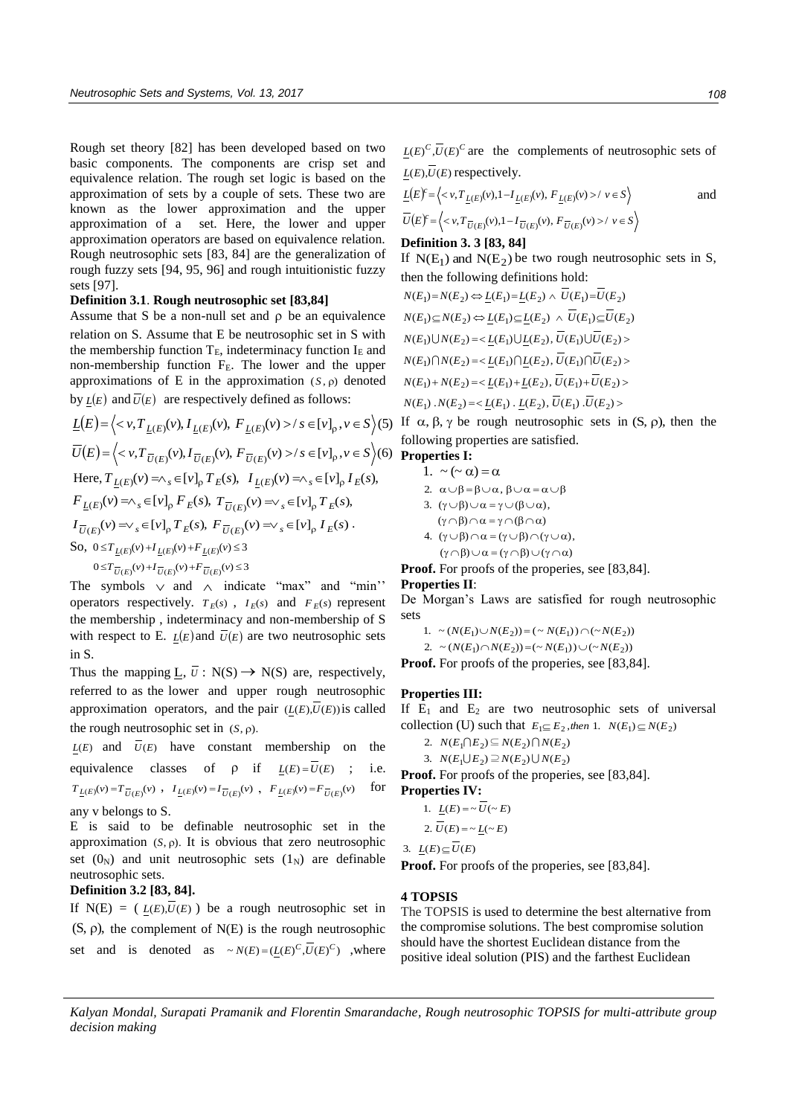Rough set theory [82] has been developed based on two basic components. The components are crisp set and equivalence relation. The rough set logic is based on the approximation of sets by a couple of sets. These two are known as the lower approximation and the upper approximation of a set. Here, the lower and upper approximation operators are based on equivalence relation. Rough neutrosophic sets [83, 84] are the generalization of rough fuzzy sets [94, 95, 96] and rough intuitionistic fuzzy sets [97].

#### **Definition 3.1**. **Rough neutrosophic set [83,84]**

Assume that S be a non-null set and  $\rho$  be an equivalence relation on S. Assume that E be neutrosophic set in S with the membership function  $T_E$ , indeterminacy function  $I_E$  and non-membership function FE. The lower and the upper approximations of  $E$  in the approximation  $(S, \rho)$  denoted by  $L(E)$  and  $\overline{U}(E)$  are respectively defined as follows: approximations of E in the approximation  $(S, \rho)$  denoted<br>by  $\underline{L}(E)$  and  $\overline{U}(E)$  are respectively defined as follows:<br> $\underline{L}(E) = \langle \langle v, T_{\underline{L}(E)}(v), I_{\underline{L}(E)}(v), F_{\underline{L}(E)}(v) \rangle / s \in [v]_p, v \in S \rangle (5)$ 

$$
\underline{L}(E) = \Big\langle < v, T_{\underline{L}(E)}(v), I_{\underline{L}(E)}(v), F_{\underline{L}(E)}(v) > / s \in [v]_p, v \in S \Big\rangle (5)
$$
\n
$$
\overline{U}(E) = \Big\langle < v, T_{\overline{U}(E)}(v), I_{\overline{U}(E)}(v), F_{\overline{U}(E)}(v) > / s \in [v]_p, v \in S \Big\rangle (6)
$$
\nHere,  $T_{\underline{L}(E)}(v) = \wedge_s \in [v]_p T_E(s), I_{\underline{L}(E)}(v) = \wedge_s \in [v]_p I_E(s),$ \n
$$
F_{\underline{L}(E)}(v) = \wedge_s \in [v]_p F_E(s), T_{\overline{U}(E)}(v) = \vee_s \in [v]_p T_E(s),
$$
\n
$$
I_{\overline{U}(E)}(v) = \vee_s \in [v]_p T_E(s), F_{\overline{U}(E)}(v) = \vee_s \in [v]_p I_E(s).
$$
\nSo,  $0 \le T_{\underline{L}(E)}(v) + I_{\underline{L}(E)}(v) + F_{\underline{L}(E)}(v) \le 3$ \n
$$
0 \le T_{\overline{U}(E)}(v) + I_{\overline{U}(E)}(v) + F_{\overline{U}(E)}(v) \le 3
$$

The symbols  $\vee$  and  $\wedge$  indicate "max" and "min" operators respectively.  $T_E(s)$ ,  $I_E(s)$  and  $F_E(s)$  represent the membership , indeterminacy and non-membership of S with respect to E.  $L(E)$  and  $\overline{U}(E)$  are two neutrosophic sets in S.

Thus the mapping  $\underline{L}$ ,  $\overline{U}$  : N(S)  $\rightarrow$  N(S) are, respectively, referred to as the lower and upper rough neutrosophic approximation operators, and the pair  $(L(E), U(E))$  is called the rough neutrosophic set in  $(S, \rho)$ .

 $L(E)$  and  $\overline{U}(E)$  have constant membership on the equivalence classes of  $\rho$  if  $L(E) = U(E)$ i.e.  $T_{\underline{L}(E)}(v) = T_{\overline{U}(E)}(v)$ ,  $I_{\underline{L}(E)}(v) = I_{\overline{U}(E)}(v)$ ,  $F_{\underline{L}(E)}(v) = F_{\overline{U}(E)}(v)$ for

# any v belongs to S.

E is said to be definable neutrosophic set in the approximation  $(S, \rho)$ . It is obvious that zero neutrosophic set  $(0_N)$  and unit neutrosophic sets  $(1_N)$  are definable neutrosophic sets.

# **Definition 3.2 [83, 84].**

If  $N(E) = (L(E), U(E))$  be a rough neutrosophic set in  $(S, \rho)$ , the complement of  $N(E)$  is the rough neutrosophic set and is denoted as  $\sim N(E) = (L(E)^C, \overline{U}(E)^C)$ , where  $L(E)^C$ , $\overline{U}(E)^C$  are the complements of neutrosophic sets of

$$
\underline{L}(E), U(E) \text{ respectively.}
$$
\n
$$
\underline{L}(E)^{c} = \left\langle \langle v, T_{\underline{L}(E)}(v), 1 - I_{\underline{L}(E)}(v), F_{\underline{L}(E)}(v) \rangle / v \in S \right\rangle \quad \text{and}
$$
\n
$$
\overline{U}(E)^{c} = \left\langle \langle v, T_{\overline{U}(E)}(v), 1 - I_{\overline{U}(E)}(v), F_{\overline{U}(E)}(v) \rangle / v \in S \right\rangle
$$

#### **Definition 3. 3 [83, 84]**

If  $N(E_1)$  and  $N(E_2)$  be two rough neutrosophic sets in S, then the following definitions hold:

$$
N(E_1) = N(E_2) \Leftrightarrow \underline{L}(E_1) = \underline{L}(E_2) \wedge \overline{U}(E_1) = \overline{U}(E_2)
$$
  
\n
$$
N(E_1) \subseteq N(E_2) \Leftrightarrow \underline{L}(E_1) \subseteq \underline{L}(E_2) \wedge \overline{U}(E_1) \subseteq \overline{U}(E_2)
$$
  
\n
$$
N(E_1) \cup N(E_2) = \langle \underline{L}(E_1) \cup \underline{L}(E_2), \overline{U}(E_1) \cup \overline{U}(E_2) \rangle
$$
  
\n
$$
N(E_1) \cap N(E_2) = \langle \underline{L}(E_1) \cap \underline{L}(E_2), \overline{U}(E_1) \cap \overline{U}(E_2) \rangle
$$
  
\n
$$
N(E_1) + N(E_2) = \langle \underline{L}(E_1) + \underline{L}(E_2), \overline{U}(E_1) + \overline{U}(E_2) \rangle
$$
  
\n
$$
N(E_1) \cdot N(E_2) = \langle \underline{L}(E_1) \cdot \underline{L}(E_2), \overline{U}(E_1) \cdot \overline{U}(E_2) \rangle
$$

If  $\alpha$ ,  $\beta$ ,  $\gamma$  be rough neutrosophic sets in  $(S, \rho)$ , then the following properties are satisfied.

# **Properties I:**

1.  $\sim (\sim \alpha) = \alpha$ 

2. 
$$
\alpha \cup \beta = \beta \cup \alpha
$$
,  $\beta \cup \alpha = \alpha \cup \beta$ 

- 3.  $(\gamma \cup \beta) \cup \alpha = \gamma \cup (\beta \cup \alpha),$
- $(\gamma \cap \beta) \cap \alpha = \gamma \cap (\beta \cap \alpha)$  $(\gamma \cap \beta) \cup \alpha = (\gamma \cap \beta) \cup (\gamma \cap \alpha)$ 4.  $(\gamma \cup \beta) \cap \alpha = (\gamma \cup \beta) \cap (\gamma \cup \alpha),$

**Proof.** For proofs of the properies, see [83,84].

# **Properties II**:

De Morgan's Laws are satisfied for rough neutrosophic sets

 $(1. \sim (N(E_1) \cup N(E_2)) = (\sim N(E_1)) \cap (\sim N(E_2))$ 

2.  $\sim (N(E_1) \cap N(E_2)) = (\sim N(E_1)) \cup (\sim N(E_2))$ **Proof.** For proofs of the properies, see [83,84].

#### **Properties III:**

If  $E_1$  and  $E_2$  are two neutrosophic sets of universal collection (U) such that  $E_1 \subseteq E_2$ , then 1.  $N(E_1) \subseteq N(E_2)$ 

2.  $N(E_1 \cap E_2) \subseteq N(E_2) \cap N(E_2)$ 

 $\exists$ .  $N(E_1 \cup E_2) \supseteq N(E_2) \cup N(E_2)$ 

Proof. For proofs of the properies, see [83,84].

**Properties IV:**  
1. 
$$
\underline{L}(E) = \sim \overline{U}(\sim E)
$$
  
2.  $\overline{U}(E) = \sim \underline{L}(\sim E)$ 

3. 
$$
\underline{L}(E) \subseteq \overline{U}(E)
$$

**Proof.** For proofs of the properies, see [83,84].

#### **4 TOPSIS**

The TOPSIS is used to determine the best alternative from the compromise solutions. The best compromise solution should have the shortest Euclidean distance from the positive ideal solution (PIS) and the farthest Euclidean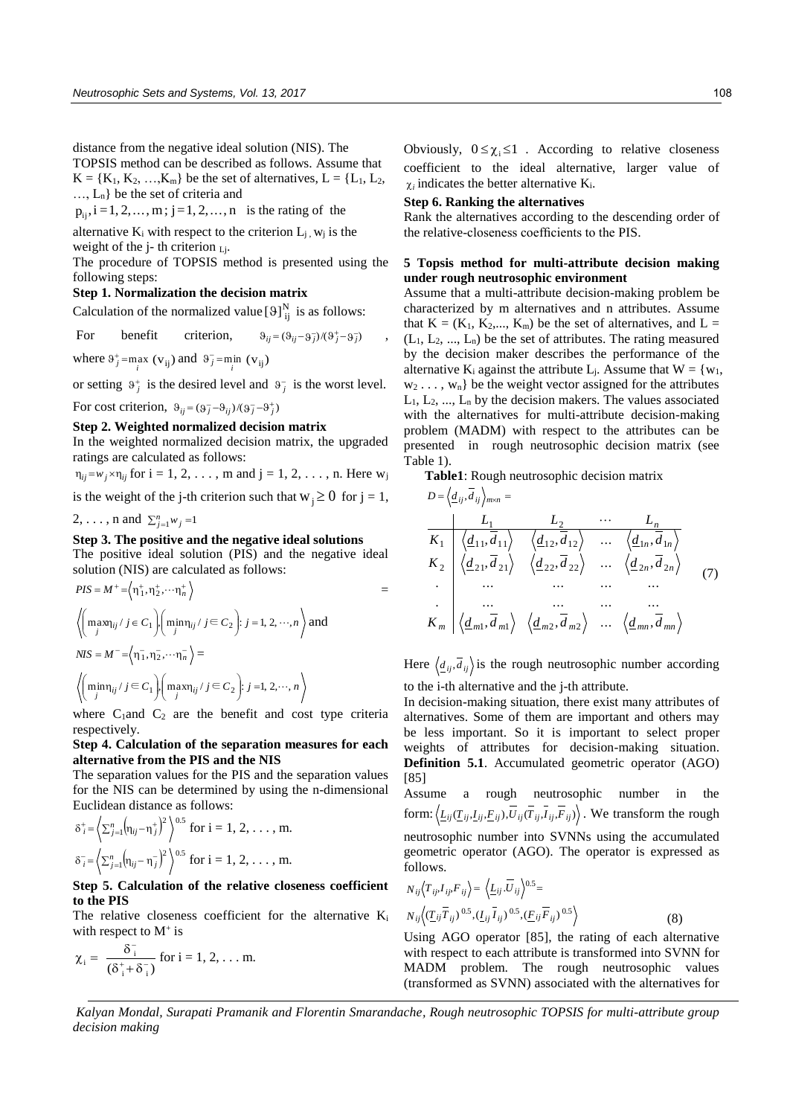distance from the negative ideal solution (NIS). The TOPSIS method can be described as follows. Assume that  $K = \{K_1, K_2, \ldots, K_m\}$  be the set of alternatives,  $L = \{L_1, L_2, \ldots, L_m\}$ …, Ln} be the set of criteria and

 $p_{ij}$ ,  $i = 1, 2, ..., m$ ;  $j = 1, 2, ..., n$  is the rating of the

alternative  $K_i$  with respect to the criterion  $L_j$ ,  $w_j$  is the weight of the j-th criterion  $_{Li}$ .

The procedure of TOPSIS method is presented using the following steps:

## **Step 1. Normalization the decision matrix**

Calculation of the normalized value  $[9]^N_{ij}$  is as follows:

For benefit criterion,  $\vartheta_{ij} = (\vartheta_{ij} - \vartheta_{j}^{-})/(\vartheta_{j}^{+} - \vartheta_{j}^{-})$ 

where  $\vartheta_j^+$ =max ( $v_{ij}$ ) and  $\vartheta_j^-$ =min ( $v_{ij}$ )

or setting  $9^+$  is the desired level and  $9^-$  is the worst level.

For cost criterion,  $\vartheta_{ij} = (\vartheta_j^- - \vartheta_{ij})/(\vartheta_j^- - \vartheta_j^+)$ 

#### **Step 2. Weighted normalized decision matrix**

In the weighted normalized decision matrix, the upgraded ratings are calculated as follows:

 $\eta_{ij} = w_j \times \eta_{ij}$  for  $i = 1, 2, \ldots, m$  and  $j = 1, 2, \ldots, n$ . Here  $w_j$ 

is the weight of the j-th criterion such that  $w_j \ge 0$  for  $j = 1$ ,

2, ..., n and  $\sum_{j=1}^{n} w_j = 1$ 

## **Step 3. The positive and the negative ideal solutions**

The positive ideal solution (PIS) and the negative ideal solution (NIS) are calculated as follows:

$$
PIS = M^{+} = \left\langle \eta_{1}^{+}, \eta_{2}^{+}, \dots, \eta_{n}^{+} \right\rangle
$$
  
\n
$$
\left\langle \left( \max_{j} \eta_{ij} / j \in C_{1} \right) \middle( \min_{j} \eta_{ij} / j \in C_{2} \right) : j = 1, 2, \dots, n \right\rangle
$$
 and  
\n
$$
NIS = M^{-} = \left\langle \eta_{1}^{-}, \eta_{2}^{-}, \dots, \eta_{n}^{-} \right\rangle =
$$
  
\n
$$
\left\langle \left( \min_{j} \eta_{ij} / j \in C_{1} \right) \middle( \max_{j} \eta_{ij} / j \in C_{2} \right) : j = 1, 2, \dots, n \right\rangle
$$

where  $C_1$  and  $C_2$  are the benefit and cost type criteria respectively.

# **Step 4. Calculation of the separation measures for each alternative from the PIS and the NIS**

The separation values for the PIS and the separation values for the NIS can be determined by using the n-dimensional Euclidean distance as follows:

$$
\delta_i^+ = \left\langle \sum_{j=1}^n (\eta_{ij} - \eta_j^+)^2 \right\rangle^{0.5} \text{ for } i = 1, 2, ..., m.
$$
  

$$
\delta_i^- = \left\langle \sum_{j=1}^n (\eta_{ij} - \eta_j^-)^2 \right\rangle^{0.5} \text{ for } i = 1, 2, ..., m.
$$

# **Step 5. Calculation of the relative closeness coefficient to the PIS**

The relative closeness coefficient for the alternative  $K_i$ with respect to  $M^+$  is

$$
\chi_i = \ \frac{\delta_i^-}{(\delta_i^+ + \delta_i^-)} \ \text{for} \ i=1,2,\ldots m.
$$

Obviously,  $0 \le \chi_i \le 1$ . According to relative closeness coefficient to the ideal alternative, larger value of  $\chi_i$  indicates the better alternative  $K_i$ .

#### **Step 6. Ranking the alternatives**

,

Rank the alternatives according to the descending order of the relative-closeness coefficients to the PIS.

## **5 Topsis method for multi-attribute decision making under rough neutrosophic environment**

Assume that a multi-attribute decision-making problem be characterized by m alternatives and n attributes. Assume that  $K = (K_1, K_2, \dots, K_m)$  be the set of alternatives, and  $L =$  $(L_1, L_2, ..., L_n)$  be the set of attributes. The rating measured by the decision maker describes the performance of the alternative  $K_i$  against the attribute  $L_j$ . Assume that  $W = \{w_1,$  $w_2 \ldots, w_n$  be the weight vector assigned for the attributes  $L_1, L_2, ..., L_n$  by the decision makers. The values associated with the alternatives for multi-attribute decision-making problem (MADM) with respect to the attributes can be presented in rough neutrosophic decision matrix (see Table 1).

**Table1**: Rough neutrosophic decision matrix

 ,*ddD ijij nm* )7( , , ... , . ... . . .. . .. . . . ... . . .. . .. . . , , ... , , , ... , 11 22 <sup>2</sup> 2 12 1 2 22 2 <sup>22</sup> <sup>1</sup> 1 11 1 1 21 2 <sup>11</sup> 1 2 *mmm mm mnmn nn nn n ddddK dd ddddK dd ddddK dd L L L*

Here  $\langle \underline{d}_{ij}, \overline{d}_{ij} \rangle$  is the rough neutrosophic number according to the i-th alternative and the j-th attribute.

In decision-making situation, there exist many attributes of alternatives. Some of them are important and others may be less important. So it is important to select proper weights of attributes for decision-making situation. **Definition 5.1**. Accumulated geometric operator (AGO) [85]

Assume a rough neutrosophic number in the form:  $\langle \underline{L}_{ij}(\underline{T}_{ij},\underline{I}_{ij},\underline{F}_{ij}),U_{ij}(\underline{T}_{ij},I_{ij},F_{ij})\rangle$ . We transform the rough neutrosophic number into SVNNs using the accumulated geometric operator (AGO). The operator is expressed as follows.

$$
N_{ij}\langle T_{ij}, I_{ij}, F_{ij} \rangle = \langle L_{ij}, \overline{U}_{ij} \rangle^{0.5} =
$$
  
\n
$$
N_{ij}\langle (\underline{T}_{ij}\overline{T}_{ij})^{0.5}, (\underline{I}_{ij}\overline{I}_{ij})^{0.5}, (\underline{F}_{ij}\overline{F}_{ij})^{0.5} \rangle
$$
 (8)

Using AGO operator [85], the rating of each alternative with respect to each attribute is transformed into SVNN for MADM problem. The rough neutrosophic values (transformed as SVNN) associated with the alternatives for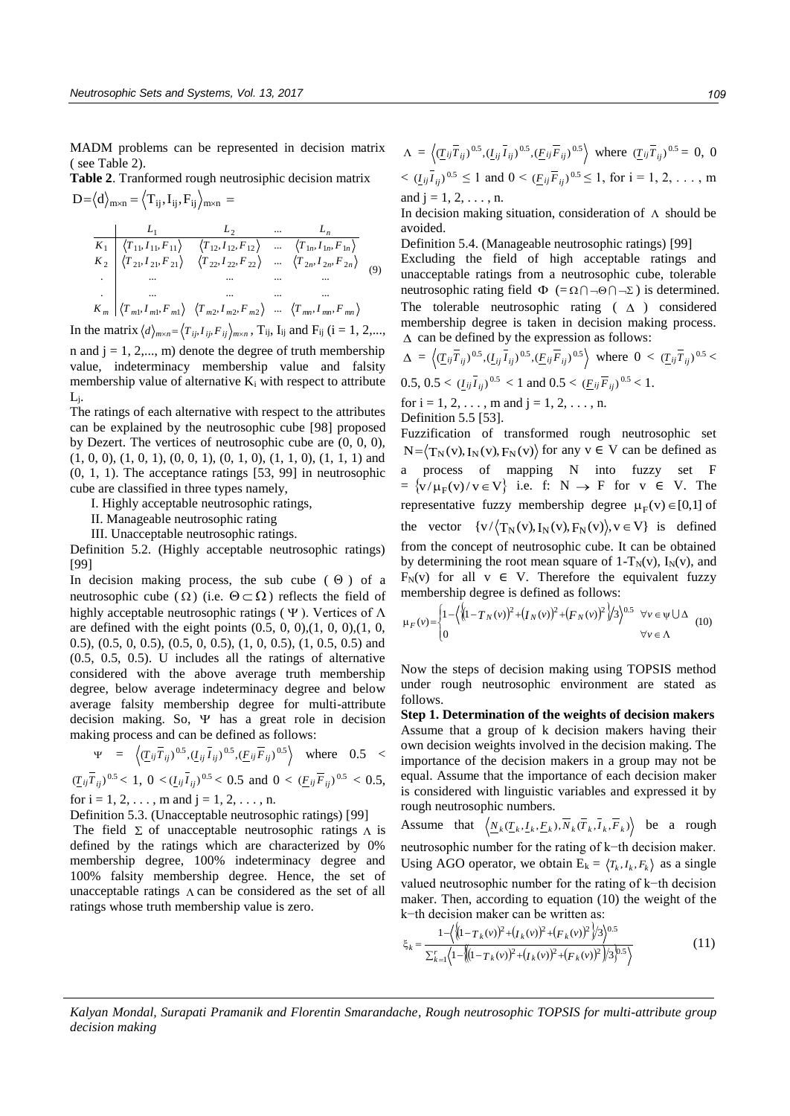MADM problems can be represented in decision matrix ( see Table 2).

**Table 2**. Tranformed rough neutrosiphic decision matrix  $\mathrm{D}{=}\big\langle \mathrm{d}\big\rangle_{\mathrm{m}\times\mathrm{n}}{=}\big\langle \mathrm{T}_{\mathrm{ij}},\mathrm{I}_{\mathrm{ij}},\mathrm{F}_{\mathrm{ij}}\big\rangle_{\mathrm{m}\times\mathrm{n}}{=}$ 

$$
\begin{array}{c|ccccccccc}\n & L_1 & L_2 & \cdots & L_n \\
\hline\nK_1 & \langle T_{11}, I_{11}, F_{11} \rangle & \langle T_{12}, I_{12}, F_{12} \rangle & \cdots & \langle T_{1n}, I_{1n}, F_{1n} \rangle \\
K_2 & \langle T_{21}, I_{21}, F_{21} \rangle & \langle T_{22}, I_{22}, F_{22} \rangle & \cdots & \langle T_{2n}, I_{2n}, F_{2n} \rangle \\
\vdots & \vdots & \ddots & \vdots & \vdots \\
\hline\nK_m & \langle T_{m1}, I_{m1}, F_{m1} \rangle & \langle T_{m2}, I_{m2}, F_{m2} \rangle & \cdots & \langle T_{mn}, I_{mn}, F_{mn} \rangle\n\end{array} \tag{9}
$$

In the matrix  $\langle d \rangle_{m \times n} = \langle T_{ij}, I_{ij}, F_{ij} \rangle_{m \times n}$ ,  $T_{ij}$ ,  $I_{ij}$  and  $F_{ij}$  (i = 1, 2,...,

n and  $j = 1, 2,..., m$ ) denote the degree of truth membership value, indeterminacy membership value and falsity membership value of alternative  $K_i$  with respect to attribute Lj.

The ratings of each alternative with respect to the attributes can be explained by the neutrosophic cube [98] proposed by Dezert. The vertices of neutrosophic cube are (0, 0, 0),  $(1, 0, 0), (1, 0, 1), (0, 0, 1), (0, 1, 0), (1, 1, 0), (1, 1, 1)$  and (0, 1, 1). The acceptance ratings [53, 99] in neutrosophic cube are classified in three types namely,

I. Highly acceptable neutrosophic ratings,

II. Manageable neutrosophic rating

III. Unacceptable neutrosophic ratings.

Definition 5.2. (Highly acceptable neutrosophic ratings) [99]

In decision making process, the sub cube  $( \Theta )$  of a neutrosophic cube ( $\Omega$ ) (i.e.  $\Theta \subset \Omega$ ) reflects the field of highly acceptable neutrosophic ratings ( $\Psi$ ). Vertices of  $\Lambda$ are defined with the eight points  $(0.5, 0, 0), (1, 0, 0), (1, 0, 0)$ 0.5), (0.5, 0, 0.5), (0.5, 0, 0.5), (1, 0, 0.5), (1, 0.5, 0.5) and (0.5, 0.5, 0.5). U includes all the ratings of alternative considered with the above average truth membership degree, below average indeterminacy degree and below average falsity membership degree for multi-attribute decision making. So,  $\Psi$  has a great role in decision making process and can be defined as follows:

$$
\Psi = \left\langle (\underline{T}_{ij}\overline{T}_{ij})^{0.5}, (\underline{I}_{ij}\overline{I}_{ij})^{0.5}, (\underline{F}_{ij}\overline{F}_{ij})^{0.5} \right\rangle \text{ where } 0.5 <
$$

 $(\underline{T}_{ij}\overline{T}_{ij})^{0.5} < 1$ ,  $0 < (\underline{I}_{ij}\overline{I}_{ij})^{0.5} < 0.5$  and  $0 < (\underline{F}_{ij}\overline{F}_{ij})^{0.5} < 0.5$ , for  $i = 1, 2, \ldots$ , m and  $j = 1, 2, \ldots$ , n.

Definition 5.3. (Unacceptable neutrosophic ratings) [99]

The field  $\Sigma$  of unacceptable neutrosophic ratings  $\Lambda$  is defined by the ratings which are characterized by 0% membership degree, 100% indeterminacy degree and 100% falsity membership degree. Hence, the set of unacceptable ratings  $\Lambda$  can be considered as the set of all ratings whose truth membership value is zero.

$$
\Lambda = \left\langle (\underline{T}_{ij} \overline{T}_{ij})^{0.5}, (\underline{I}_{ij} \overline{I}_{ij})^{0.5}, (\underline{F}_{ij} \overline{F}_{ij})^{0.5} \right\rangle \text{ where } (\underline{T}_{ij} \overline{T}_{ij})^{0.5} = 0, 0
$$
  
<  $(\underline{I}_{ij} \overline{I}_{ij})^{0.5} \le 1$  and  $0 < (\underline{F}_{ij} \overline{F}_{ij})^{0.5} \le 1$ , for  $i = 1, 2, ..., m$ 

and  $j = 1, 2, ..., n$ .

In decision making situation, consideration of  $\Lambda$  should be avoided.

Definition 5.4. (Manageable neutrosophic ratings) [99]

 Excluding the field of high acceptable ratings and unacceptable ratings from a neutrosophic cube, tolerable neutrosophic rating field  $\Phi$  (= $\Omega \cap \neg \Theta \cap \neg \Sigma$ ) is determined. The tolerable neutrosophic rating  $( \Delta )$  considered membership degree is taken in decision making process.  $\Delta$  can be defined by the expression as follows:

$$
\Delta = \left\langle (\underline{T}_{ij}\overline{T}_{ij})^{0.5}, (\underline{I}_{ij}\overline{I}_{ij})^{0.5}, (\underline{F}_{ij}\overline{F}_{ij})^{0.5} \right\rangle \text{ where } 0 < (\underline{T}_{ij}\overline{T}_{ij})^{0.5} < 0.5, 0.5 < (\underline{I}_{ij}\overline{I}_{ij})^{0.5} < 1 \text{ and } 0.5 < (\underline{F}_{ij}\overline{F}_{ij})^{0.5} < 1.
$$
  
\nfor i = 1, 2, ..., m and j = 1, 2, ..., n.  
\nDefinition 5.5 [53].

Fuzzification of transformed rough neutrosophic set  $N = \langle T_N(v), I_N(v), F_N(v) \rangle$  for any  $v \in V$  can be defined as a process of mapping N into fuzzy set F  $= \{v/\mu_F(v)/v \in V\}$  i.e. f:  $N \to F$  for  $v \in V$ . The representative fuzzy membership degree  $\mu_F(v) \in [0,1]$  of the vector  $\{v/\langle T_N(v), I_N(v), F_N(v)\rangle, v \in V\}$  is defined from the concept of neutrosophic cube. It can be obtained by determining the root mean square of  $1-T_N(v)$ ,  $I_N(v)$ , and  $F_N(v)$  for all v  $\in$  V. Therefore the equivalent fuzzy membership degree is defined as follows: all  $v \in V$ . Therefore the equiv<br>p degree is defined as follows:<br> $\sqrt{(1-T_N(v))^2+(I_N(v))^2+(F_N(v))^2})/3^{0.5}$   $\forall v$ 

$$
\mu_F(v) = \begin{cases} 1 - \left( \left( \left( 1 - T_N(v) \right)^2 + \left( \frac{1}{N(v)} \right)^2 + \left( \frac{1}{N(v)} \right)^2 \right) \right)^{0.5} & \forall v \in \Psi \cup \Delta \\ 0 & \forall v \in \Lambda \end{cases} \tag{10}
$$

Now the steps of decision making using TOPSIS method under rough neutrosophic environment are stated as follows.

**Step 1. Determination of the weights of decision makers**  Assume that a group of k decision makers having their own decision weights involved in the decision making. The importance of the decision makers in a group may not be equal. Assume that the importance of each decision maker is considered with linguistic variables and expressed it by rough neutrosophic numbers.

Assume that  $\langle N_k(\underline{T}_k, \underline{I}_k, \underline{F}_k), \overline{N}_k(\overline{T}_k, \overline{I}_k, \overline{F}_k) \rangle$  be a rough neutrosophic number for the rating of k−th decision maker. Using AGO operator, we obtain  $E_k = \langle T_k, I_k, F_k \rangle$  as a single valued neutrosophic number for the rating of k−th decision maker. Then, according to equation (10) the weight of the

k-th decision maker can be written as:  
\n
$$
\xi_k = \frac{1 - \left( \left\{ (1 - T_k(v))^2 + (T_k(v))^2 \right\} / 3 \right)^{0.5}}{\sum_{k=1}^r \left( 1 - \left( (1 - T_k(v))^2 + (T_k(v))^2 \right) / 3 \right)^{0.5}} \tag{11}
$$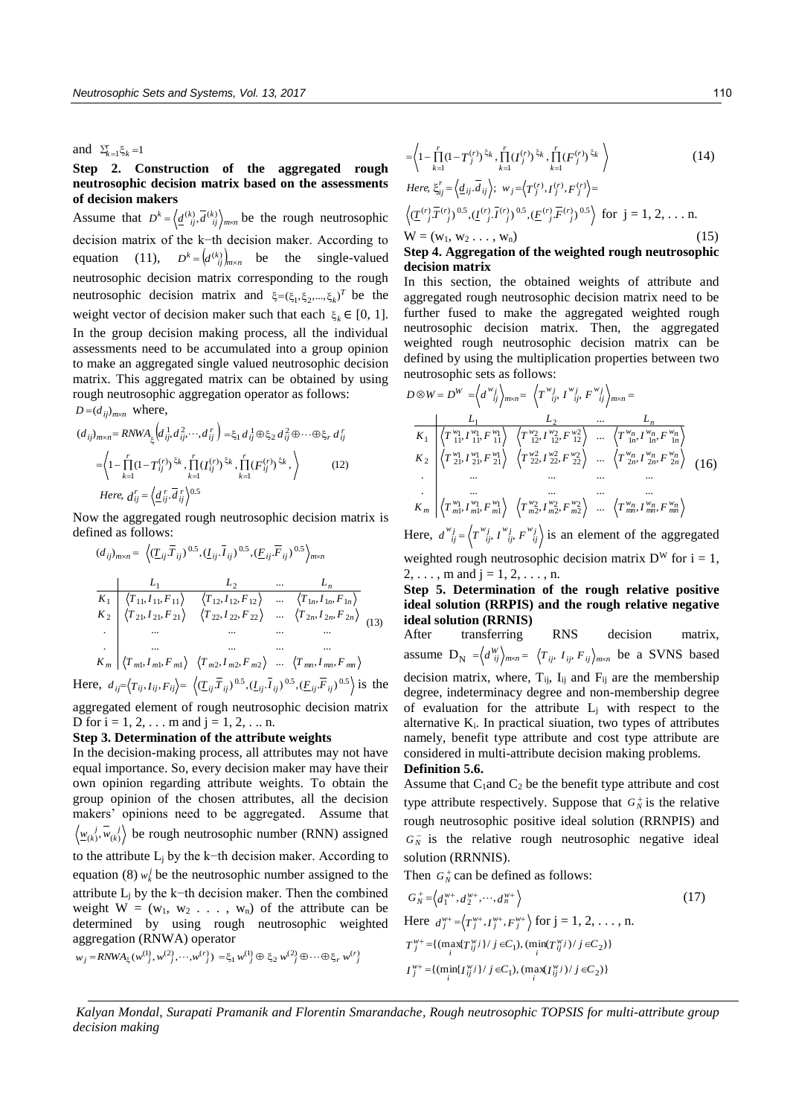# and  $\Sigma_{k=1}^{r} \xi_{k} = 1$

# **Step 2. Construction of the aggregated rough neutrosophic decision matrix based on the assessments of decision makers**

Assume that  $D^k = \left\langle \frac{d^{(k)}}{i j}, \overline{d^{(k)}} \right\rangle_{m \times n}$  be the rough neutrosophic decision matrix of the k−th decision maker. According to equation (11),  $D^k = (d^{(k)})_{m \times n}$  be the single-valued neutrosophic decision matrix corresponding to the rough neutrosophic decision matrix and  $\xi = (\xi_1, \xi_2, ..., \xi_k)^T$  be the weight vector of decision maker such that each  $\xi_k \in [0, 1]$ . In the group decision making process, all the individual assessments need to be accumulated into a group opinion to make an aggregated single valued neutrosophic decision matrix. This aggregated matrix can be obtained by using rough neutrosophic aggregation operator as follows:  $D = (d_{ij})_{m \times n}$  where,

$$
(d_{ij})_{m \times n} = RNWA_{\xi} \left( d_{ij}^1, d_{ij}^2, \cdots, d_{ij}^r \right) = \xi_1 d_{ij}^1 \oplus \xi_2 d_{ij}^2 \oplus \cdots \oplus \xi_r d_{ij}^r
$$

$$
= \left\langle 1 - \prod_{k=1}^r (1 - T_{ij}^{(r)})^{\xi_k}, \prod_{k=1}^r (T_{ij}^{(r)})^{\xi_k}, \prod_{k=1}^r (F_{ij}^{(r)})^{\xi_k}, \right\rangle \tag{12}
$$
  
Here,  $d_{ij}^r = \left\langle \underline{d}_{ij}^r, \overline{d}_{ij}^r \right\rangle^{0.5}$ 

Now the aggregated rough neutrosophic decision matrix is defined as follows:

$$
(d_{ij})_{m \times n} = \left\langle (\underline{T}_{ij}\overline{T}_{ij})^{0.5}, (\underline{L}_{ij}\overline{I}_{ij})^{0.5}, (\underline{F}_{ij}\overline{F}_{ij})^{0.5} \right\rangle_{m \times n}
$$
  
\n
$$
\frac{L_1}{K_1} \left\langle \frac{\langle T_{11}, I_{11}, F_{11} \rangle}{\langle T_{21}, I_{21}, F_{21} \rangle} \right\rangle_{\langle T_{22}, I_{22}, F_{22} \rangle} \dots \left\langle \frac{\langle T_{1n}, I_{1n}, F_{1n} \rangle}{\langle T_{2n}, I_{2n}, F_{2n} \rangle} \right\rangle_{\langle T_{2n}, I_{2n}, F_{2n} \rangle}^{(13)}
$$
  
\n... ... ... ...  
\n
$$
K_m \left\langle \frac{\langle T_{m1}, I_{m1}, F_{m1} \rangle}{\langle T_{m1}, I_{m1}, F_{m1} \rangle} \right\rangle_{\langle T_{m2}, I_{m2}, F_{m2} \rangle} \dots \left\langle \frac{\langle T_{mn}, I_{mn}, F_{mn} \rangle}{\langle T_{mn}, I_{mn}, F_{mn} \rangle} \right\rangle_{\langle T_{mn}, I_{mn}, F_{mn} \rangle}^{(14)}
$$

Here,  $d_{ij} = \langle T_{ij}, I_{ij}, F_{ij} \rangle = \langle (I_{ij} \overline{T}_{ij})^{0.5}, (I_{ij} \overline{T}_{ij})^{0.5}, (I_{ij} \overline{F}_{ij})^{0.5} \rangle$  is the aggregated element of rough neutrosophic decision matrix D for  $i = 1, 2, \ldots$  m and  $j = 1, 2, \ldots$  n.

# **Step 3. Determination of the attribute weights**

In the decision-making process, all attributes may not have equal importance. So, every decision maker may have their own opinion regarding attribute weights. To obtain the group opinion of the chosen attributes, all the decision makers' opinions need to be aggregated. Assume that  $\langle \psi_{(k)}, \psi_{(k)} \rangle$  be rough neutrosophic number (RNN) assigned to the attribute  $L_j$  by the k−th decision maker. According to equation (8)  $w_k^j$  be the neutrosophic number assigned to the attribute L<sup>j</sup> by the k−th decision maker. Then the combined weight  $W = (w_1, w_2 \dots, w_n)$  of the attribute can be determined by using rough neutrosophic weighted aggregation (RNWA) operator

$$
w_j = \text{RWWA}_{\xi}(w^{(1)}_j, w^{(2)}_j, \cdots, w^{(r)}) = \xi_1 w^{(1)}_j \oplus \xi_2 w^{(2)}_j \oplus \cdots \oplus \xi_r w^{(r)}
$$

$$
=\left\langle 1-\prod_{k=1}^r(1-T_j^{(r)})^{\xi_k}, \prod_{k=1}^r(I_j^{(r)})^{\xi_k}, \prod_{k=1}^r(F_j^{(r)})^{\xi_k}\right\rangle
$$
(14)

Here, 
$$
\xi_{ij}^r = \langle \underline{d}_{ij}, \overline{d}_{ij} \rangle
$$
;  $w_j = \langle T_j^{(r)}, I_j^{(r)}, F_j^{(r)} \rangle =$   
\n $\langle (\underline{T}_{j}^{(r)}, \overline{T}_{j}^{(r)})^{0.5}, (\underline{I}_{j}^{(r)}, \overline{I}_{j}^{(r)})^{0.5}, (\underline{F}_{j}^{(r)}, \overline{F}_{j}^{(r)})^{0.5} \rangle$  for  $j = 1, 2, ...$  n.  
\nW = (w<sub>1</sub>, w<sub>2</sub> ..., w<sub>n</sub>) (15)

## **Step 4. Aggregation of the weighted rough neutrosophic decision matrix**

In this section, the obtained weights of attribute and aggregated rough neutrosophic decision matrix need to be further fused to make the aggregated weighted rough neutrosophic decision matrix. Then, the aggregated weighted rough neutrosophic decision matrix can be defined by using the multiplication properties between two neutrosophic sets as follows:

$$
D \otimes W = D^{W} = \left\langle d^{w}{}_{ij} \right\rangle_{m \times n} = \left\langle T^{w}{}_{ij}, T^{w}{}_{ij}, F^{w}{}_{ij} \right\rangle_{m \times n} =
$$
\n
$$
\frac{L_{1}}{K_{1}} \left\langle T^{w}_{11}, T^{w}_{11}, F^{w}_{11} \right\rangle \left\langle T^{w}_{12}, T^{w}_{12}, F^{w}_{12} \right\rangle \dots \left\langle T^{w}_{1n}, T^{w}_{1n}, F^{w}_{1n} \right\rangle
$$
\n
$$
K_{2} \left\langle T^{w}_{21}, T^{w}_{21}, F^{w}_{21} \right\rangle \left\langle T^{w}_{22}, T^{w}_{22}, F^{w}_{22} \right\rangle \dots \left\langle T^{w}_{2n}, T^{w}_{2n}, F^{w}_{2n} \right\rangle \quad (16)
$$
\n
$$
\dots \qquad \dots \qquad \dots
$$
\n
$$
K_{m} \left\langle T^{w}_{m1}, T^{w}_{m1}, F^{w}_{m1} \right\rangle \left\langle T^{w}_{m2}, T^{w}_{m2}, F^{w}_{m2} \right\rangle \dots \left\langle T^{w}_{mn}, T^{w}_{mn}, F^{w}_{mn} \right\rangle
$$
\n
$$
K_{m} \left\langle T^{w}_{m1}, T^{w}_{m1}, F^{w}_{m1} \right\rangle \left\langle T^{w}_{m2}, T^{w}_{m2}, F^{w}_{m2} \right\rangle \dots \left\langle T^{w}_{mn}, T^{w}_{mn}, F^{w}_{mn} \right\rangle
$$

Here,  $d^{w}j_{ij} = \left\langle T^{w}j_{j}, T^{w}j_{j}, F^{w}j \right\rangle$  is an element of the aggregated weighted rough neutrosophic decision matrix  $D^W$  for  $i = 1$ ,  $2, \ldots, m$  and  $j = 1, 2, \ldots, n$ .

**Step 5. Determination of the rough relative positive ideal solution (RRPIS) and the rough relative negative ideal solution (RRNIS)** 

After transferring RNS decision matrix, assume  $D_N = \langle d_{ij}^W \rangle_{m \times n} = \langle T_{ij}, I_{ij}, F_{ij} \rangle_{m \times n}$  be a SVNS based decision matrix, where,  $T_{ij}$ ,  $I_{ij}$  and  $F_{ij}$  are the membership degree, indeterminacy degree and non-membership degree of evaluation for the attribute  $L_i$  with respect to the alternative  $K_i$ . In practical siuation, two types of attributes namely, benefit type attribute and cost type attribute are considered in multi-attribute decision making problems. **Definition 5.6.** 

Assume that  $C_1$  and  $C_2$  be the benefit type attribute and cost type attribute respectively. Suppose that  $G_N^+$  is the relative rough neutrosophic positive ideal solution (RRNPIS) and  $G_N^-$  is the relative rough neutrosophic negative ideal solution (RRNNIS).

Then  $G_N^+$  can be defined as follows:

$$
G_N^+ = \langle d_1^{w+}, d_2^{w+}, \cdots, d_n^{w+} \rangle
$$
\n(17)  
\nHere 
$$
d_j^{w+} = \langle T_j^{w+}, T_j^{w+}, F_j^{w+} \rangle \text{ for } j = 1, 2, \dots, n.
$$
\n
$$
T_j^{w+} = \{ (\max_i T_{ij}^w) / j \in C_1), (\min_i (T_{ij}^w) / j \in C_2) \}
$$
\n
$$
I_j^{w+} = \{ (\min_i \{ T_{ij}^w) \} / j \in C_1), (\max_i (T_{ij}^w) / j \in C_2) \}
$$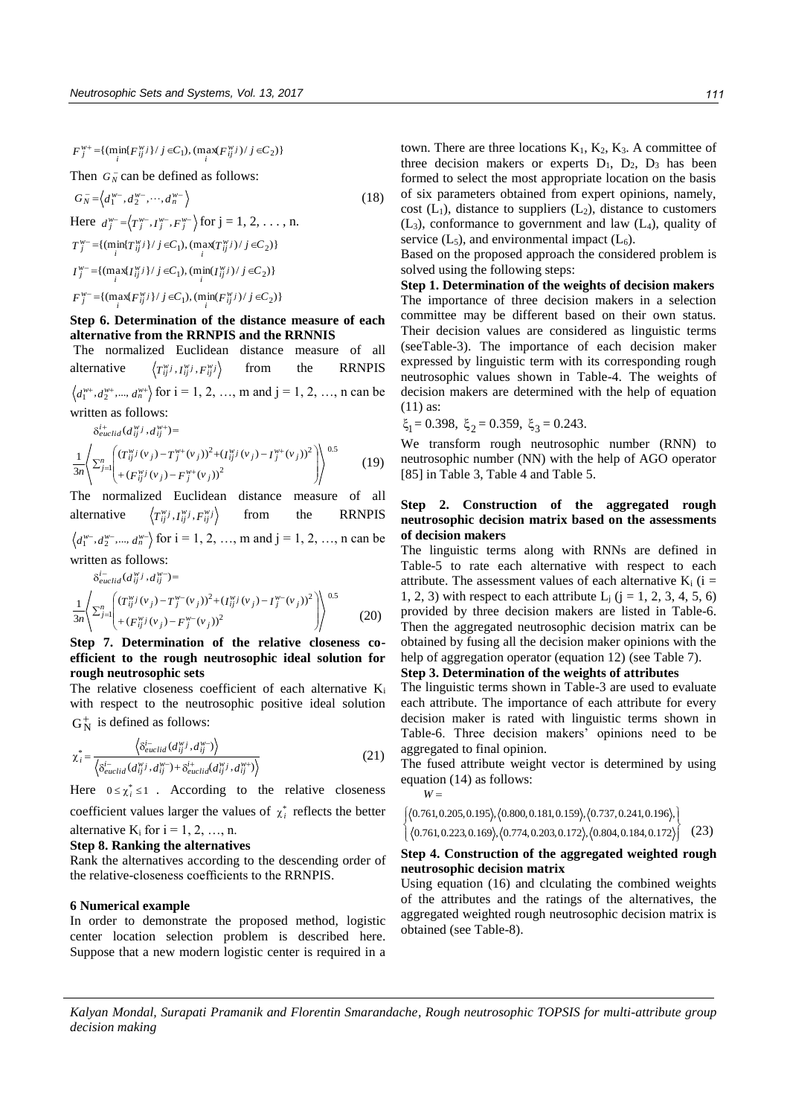${F}^{w+}_{j} = \{ (\min_{i} {F}^{w}_{ij} \} / j \in C_1), (\max_{i} {F}^{w}_{ij} \} / j \in C_2) \}$ 

Then  $G_N^-$  can be defined as follows:

$$
G_N^- = \langle d_1^{w^-}, d_2^{w^-}, \cdots, d_n^{w^-} \rangle
$$
\n(18)  
\nHere 
$$
d_j^{w^-} = \langle T_j^{w^-}, T_j^{w^-}, F_j^{w^-} \rangle \text{ for } j = 1, 2, \dots, n.
$$
\n
$$
T_j^{w^-} = \{ (\min_i \{ T_{ij}^w j \} / j \in C_1), (\max_i \{ T_{ij}^w j \} / j \in C_2) \}
$$
\n
$$
I_j^{w^-} = \{ (\max_i \{ T_{ij}^w j \} / j \in C_1), (\min_i \{ T_{ij}^w j \} / j \in C_2) \}
$$
\n
$$
F_j^{w^-} = \{ (\max_i \{ F_{ij}^w j \} / j \in C_1), (\min_i \{ F_{ij}^w j \} / j \in C_2) \}
$$

# **Step 6. Determination of the distance measure of each alternative from the RRNPIS and the RRNNIS**

 The normalized Euclidean distance measure of all alternative  $T_{ij}^{\mathcal{W}j}$ ,  $I_{ij}^{\mathcal{W}j}$ ,  $F_{ij}^{\mathcal{W}j}$ from the RRNPIS  $d_1^{w_1}, d_2^{w_2},..., d_n^{w_n}$  for  $i = 1, 2, ..., m$  and  $j = 1, 2, ..., n$  can be

written as follows:

 $\delta_{euclid}^{i+}(d_{ij}^{w}j, d_{ij}^{w+}) =$ 

$$
\frac{1}{3n} \left\langle \sum_{j=1}^{n} \left( \frac{(T_{ij}^{w}j(v_j) - T_j^{w+}(v_j))^2 + (T_{ij}^{w}j(v_j) - T_j^{w+}(v_j))^2}{+(F_{ij}^{w}j(v_j) - F_j^{w+}(v_j))^2} \right) \right\rangle^{0.5}
$$
(19)

The normalized Euclidean distance measure of all alternative  $T_{ij}^{\mathbf{w}}$ *j*,  $I_{ij}^{\mathbf{w}}$ *j*,  $F_{ij}^{\mathbf{w}}$ *j* from the RRNPIS  $d_1^{w_-}, d_2^{w_-},..., d_n^{w_-}$  for  $i = 1, 2, ..., m$  and  $j = 1, 2, ..., n$  can be written as follows:

$$
\delta_{euclid}^{i-1}(d_{ij}^{w}j, d_{ij}^{w}) =
$$
\n
$$
\frac{1}{3n} \left\langle \sum_{j=1}^{n} \left( (T_{ij}^{w}j(v_j) - T_j^{w-}(v_j))^2 + (T_{ij}^{w}j(v_j) - T_j^{w-}(v_j))^2 \right) \right\rangle^{0.5}
$$
\n
$$
\left. \frac{1}{3n} \left\langle \sum_{j=1}^{n} \left( (T_{ij}^{w}j(v_j) - F_j^{w-}(v_j))^2 \right) \right\rangle^{0.5}
$$
\n
$$
(20)
$$

**Step 7. Determination of the relative closeness coefficient to the rough neutrosophic ideal solution for rough neutrosophic sets** 

The relative closeness coefficient of each alternative  $K_i$ with respect to the neutrosophic positive ideal solution  $G_N^+$  is defined as follows:

$$
\chi_i^* = \frac{\langle \delta_{euclid}^i(d_{ij}^{w_j}, d_{ij}^{w_j}) \rangle}{\langle \delta_{euclid}^i(d_{ij}^{w_j}, d_{ij}^{w_j}) + \delta_{euclid}^i(d_{ij}^{w_j}, d_{ij}^{w_j}) \rangle}
$$
(21)

Here  $0 \le \chi_i^* \le 1$ . According to the relative closeness

coefficient values larger the values of  $\chi^*$  reflects the better alternative  $K_i$  for  $i = 1, 2, ..., n$ .

#### **Step 8. Ranking the alternatives**

Rank the alternatives according to the descending order of the relative-closeness coefficients to the RRNPIS.

#### **6 Numerical example**

In order to demonstrate the proposed method, logistic center location selection problem is described here. Suppose that a new modern logistic center is required in a town. There are three locations  $K_1$ ,  $K_2$ ,  $K_3$ . A committee of three decision makers or experts  $D_1$ ,  $D_2$ ,  $D_3$  has been formed to select the most appropriate location on the basis of six parameters obtained from expert opinions, namely, cost  $(L_1)$ , distance to suppliers  $(L_2)$ , distance to customers  $(L_3)$ , conformance to government and law  $(L_4)$ , quality of service  $(L_5)$ , and environmental impact  $(L_6)$ .

Based on the proposed approach the considered problem is solved using the following steps:

**Step 1. Determination of the weights of decision makers**  The importance of three decision makers in a selection committee may be different based on their own status. Their decision values are considered as linguistic terms (seeTable-3). The importance of each decision maker expressed by linguistic term with its corresponding rough neutrosophic values shown in Table-4. The weights of decision makers are determined with the help of equation (11) as:

$$
\xi_1 = 0.398, \xi_2 = 0.359, \xi_3 = 0.243.
$$

We transform rough neutrosophic number (RNN) to neutrosophic number (NN) with the help of AGO operator [85] in Table 3, Table 4 and Table 5.

# **Step 2. Construction of the aggregated rough neutrosophic decision matrix based on the assessments of decision makers**

The linguistic terms along with RNNs are defined in Table-5 to rate each alternative with respect to each attribute. The assessment values of each alternative  $K_i$  (i = 1, 2, 3) with respect to each attribute  $L_j$  (j = 1, 2, 3, 4, 5, 6) provided by three decision makers are listed in Table-6. Then the aggregated neutrosophic decision matrix can be obtained by fusing all the decision maker opinions with the help of aggregation operator (equation 12) (see Table 7).

# **Step 3. Determination of the weights of attributes**

The linguistic terms shown in Table-3 are used to evaluate each attribute. The importance of each attribute for every decision maker is rated with linguistic terms shown in Table-6. Three decision makers' opinions need to be aggregated to final opinion.

The fused attribute weight vector is determined by using equation (14) as follows:

$$
W =
$$

$$
\left\{ \begin{array}{l} \langle 0.761, 0.205, 0.195 \rangle, \langle 0.800, 0.181, 0.159 \rangle, \langle 0.737, 0.241, 0.196 \rangle, \\ \langle 0.761, 0.223, 0.169 \rangle, \langle 0.774, 0.203, 0.172 \rangle, \langle 0.804, 0.184, 0.172 \rangle \end{array} \right\}
$$
 (23)

# **Step 4. Construction of the aggregated weighted rough neutrosophic decision matrix**

Using equation (16) and clculating the combined weights of the attributes and the ratings of the alternatives, the aggregated weighted rough neutrosophic decision matrix is obtained (see Table-8).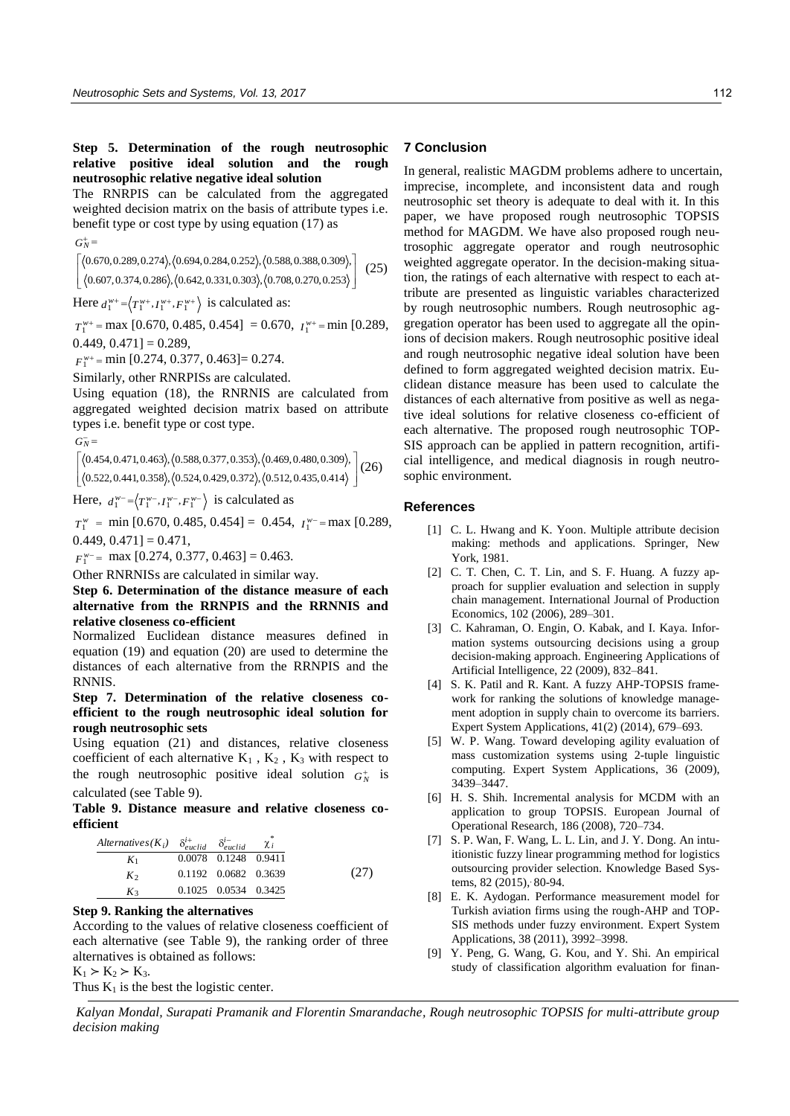**Step 5. Determination of the rough neutrosophic relative positive ideal solution and the rough neutrosophic relative negative ideal solution** 

The RNRPIS can be calculated from the aggregated weighted decision matrix on the basis of attribute types i.e. benefit type or cost type by using equation (17) as

 $G_N^+$  =

  $\overline{\phantom{a}}$ J  $\parallel$ L L 0.607, 0.374, 0.286), (0.642, 0.331, 0.303), (0.708, 0.270, 0.253 0.670, 0.289, 0.274), (0.694, 0.284, 0.252), (0.588, 0.388, 0.309), (25)

Here  $d_1^{w+} = \langle T_1^{w+}, T_1^{w+}, F_1^{w+} \rangle$  is calculated as:

 $T_1^{w+}$  = max [0.670, 0.485, 0.454] = 0.670,  $I_1^{w+}$  = min [0.289,  $0.449, 0.471$ ] = 0.289,

 $F_1^{w+}$  = min [0.274, 0.377, 0.463] = 0.274.

Similarly, other RNRPISs are calculated.

Using equation (18), the RNRNIS are calculated from aggregated weighted decision matrix based on attribute types i.e. benefit type or cost type.

 $G_N^-$ 

 $\overline{\phantom{a}}$ J I  $\overline{\phantom{a}}$ L L 0.522, 0.441, 0.358), (0.524, 0.429, 0.372), (0.512, 0.435, 0.414  $(0.454, 0.471, 0.463), (0.588, 0.377, 0.353), (0.469, 0.480, 0.309), (26)$ 

Here,  $d_1^{w^-} = \langle T_1^{w^-}, T_1^{w^-}, F_1^{w^-} \rangle$  is calculated as

 $T_1^w = \min [0.670, 0.485, 0.454] = 0.454, I_1^{w^-} = \max [0.289,$  $0.449, 0.471$ ] = 0.471,

 $F_1^{w-}$  max [0.274, 0.377, 0.463] = 0.463.

Other RNRNISs are calculated in similar way.

# **Step 6. Determination of the distance measure of each alternative from the RRNPIS and the RRNNIS and relative closeness co-efficient**

Normalized Euclidean distance measures defined in equation (19) and equation (20) are used to determine the distances of each alternative from the RRNPIS and the RNNIS.

**Step 7. Determination of the relative closeness coefficient to the rough neutrosophic ideal solution for rough neutrosophic sets** 

Using equation (21) and distances, relative closeness coefficient of each alternative  $K_1$ ,  $K_2$ ,  $K_3$  with respect to the rough neutrosophic positive ideal solution  $G_N^+$  is calculated (see Table 9).

**Table 9. Distance measure and relative closeness coefficient** 

| Alternatives $(K_i)$ $\delta_{euclid}^{i+}$ $\delta_{euclid}^{i-}$ |                      | $\chi_i$ |
|--------------------------------------------------------------------|----------------------|----------|
| K <sub>1</sub>                                                     | 0.0078 0.1248 0.9411 |          |
| $K_2$                                                              | 0.1192 0.0682 0.3639 |          |
| $K_3$                                                              | 0.1025 0.0534 0.3425 |          |

# **Step 9. Ranking the alternatives**

According to the values of relative closeness coefficient of each alternative (see Table 9), the ranking order of three alternatives is obtained as follows:

 $K_1 > K_2 > K_3$ . Thus  $K_1$  is the best the logistic center.

# **7 Conclusion**

In general, realistic MAGDM problems adhere to uncertain, imprecise, incomplete, and inconsistent data and rough neutrosophic set theory is adequate to deal with it. In this paper, we have proposed rough neutrosophic TOPSIS method for MAGDM. We have also proposed rough neutrosophic aggregate operator and rough neutrosophic weighted aggregate operator. In the decision-making situation, the ratings of each alternative with respect to each attribute are presented as linguistic variables characterized by rough neutrosophic numbers. Rough neutrosophic aggregation operator has been used to aggregate all the opinions of decision makers. Rough neutrosophic positive ideal and rough neutrosophic negative ideal solution have been defined to form aggregated weighted decision matrix. Euclidean distance measure has been used to calculate the distances of each alternative from positive as well as negative ideal solutions for relative closeness co-efficient of each alternative. The proposed rough neutrosophic TOP-SIS approach can be applied in pattern recognition, artificial intelligence, and medical diagnosis in rough neutrosophic environment.

## **References**

- [1] C. L. Hwang and K. Yoon. Multiple attribute decision making: methods and applications. Springer, New York, 1981.
- [2] C. T. Chen, C. T. Lin, and S. F. Huang. A fuzzy approach for supplier evaluation and selection in supply chain management. International Journal of Production Economics, 102 (2006), 289–301.
- [3] C. Kahraman, O. Engin, O. Kabak, and I. Kaya. Information systems outsourcing decisions using a group decision-making approach. Engineering Applications of Artificial Intelligence, 22 (2009), 832–841.
- [4] S. K. [Patil](http://www.sciencedirect.com/science/article/pii/S0957417413005940) and R. Kant. A fuzzy AHP-TOPSIS framework for ranking the solutions of knowledge management adoption in supply chain to overcome its barriers. Expert System Applications, 41(2) (2014), 679–693.
- [5] W. P. Wang. Toward developing agility evaluation of mass customization systems using 2-tuple linguistic computing. Expert System Applications, 36 (2009), 3439–3447.
- [6] H. S. Shih. Incremental analysis for MCDM with an application to group TOPSIS. European Journal of Operational Research, 186 (2008), 720–734.
- [7] S. P. Wan, F. Wang, L. L. Lin, and J. Y. Dong. An intuitionistic fuzzy linear programming method for logistics outsourcing provider selection. Knowledge Based Systems, 82 (2015), . 80-94.
- [8] E. K. Aydogan. Performance measurement model for Turkish aviation firms using the rough-AHP and TOP-SIS methods under fuzzy environment. Expert System Applications, 38 (2011), 3992–3998.
- [9] Y. Peng, G. Wang, G. Kou, and Y. Shi. An empirical study of classification algorithm evaluation for finan-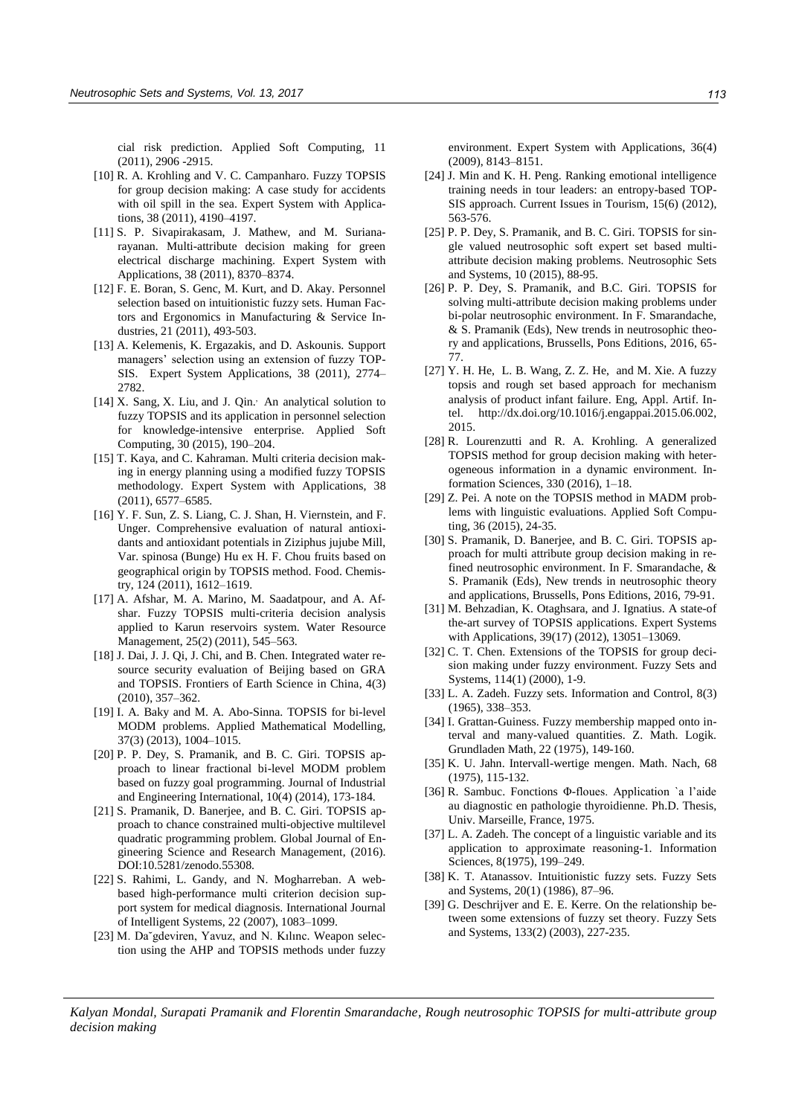cial risk prediction. Applied Soft Computing, 11 (2011), 2906 -2915.

- [10] R. A. Krohling and V. C. Campanharo. Fuzzy TOPSIS for group decision making: A case study for accidents with oil spill in the sea. Expert System with Applications, 38 (2011), 4190–4197.
- [11] S. P. Sivapirakasam, J. Mathew, and M. Surianarayanan. Multi-attribute decision making for green electrical discharge machining. Expert System with Applications, 38 (2011), 8370–8374.
- [12] F. E. Boran, S. Genc, M. Kurt, and D. Akay. Personnel selection based on intuitionistic fuzzy sets. Human Factors and Ergonomics in Manufacturing & Service Industries, 21 (2011), 493-503.
- [13] A. Kelemenis, K. Ergazakis, and D. Askounis. Support managers' selection using an extension of fuzzy TOP-SIS. Expert System Applications, 38 (2011), 2774– 2782.
- [14] X. [Sang,](http://www.sciencedirect.com/science/article/pii/S1568494615000034) X. [Liu,](http://www.sciencedirect.com/science/article/pii/S1568494615000034) and J. [Qin.](http://www.sciencedirect.com/science/article/pii/S1568494615000034) An analytical solution to fuzzy TOPSIS and its application in personnel selection for knowledge-intensive enterprise. Applied Soft Computing, 30 (2015), 190–204.
- [15] T. Kaya, and C. Kahraman. Multi criteria decision making in energy planning using a modified fuzzy TOPSIS methodology. Expert System with Applications, 38 (2011), 6577–6585.
- [16] Y. F. Sun, Z. S. Liang, C. J. Shan, H. Viernstein, and F. Unger. Comprehensive evaluation of natural antioxidants and antioxidant potentials in Ziziphus jujube Mill, Var. spinosa (Bunge) Hu ex H. F. Chou fruits based on geographical origin by TOPSIS method. Food. Chemistry, 124 (2011), 1612–1619.
- [17] A. Afshar, M. A. Marino, M. Saadatpour, and A. Afshar. Fuzzy TOPSIS multi-criteria decision analysis applied to Karun reservoirs system. Water Resource Management, 25(2) (2011), 545–563.
- [18] J. Dai, J. J. Qi, J. Chi, and B. Chen. Integrated water resource security evaluation of Beijing based on GRA and TOPSIS. Frontiers of Earth Science in China, 4(3) (2010), 357–362.
- [19] I. A. Baky and M. A. Abo-Sinna. TOPSIS for bi-level MODM problems. Applied Mathematical Modelling, 37(3) (2013), 1004–1015.
- [20] P. P. Dey, S. Pramanik, and B. C. Giri. TOPSIS approach to linear fractional bi-level MODM problem based on fuzzy goal programming. Journal of Industrial and Engineering International, 10(4) (2014), 173-184.
- [21] S. Pramanik, D. Banerjee, and B. C. Giri. TOPSIS approach to chance constrained multi-objective multilevel quadratic programming problem. Global Journal of Engineering Science and Research Management, (2016). DOI:10.5281/zenodo.55308.
- [22] S. Rahimi, L. Gandy, and N. Mogharreban. A webbased high-performance multi criterion decision support system for medical diagnosis. International Journal of Intelligent Systems, 22 (2007), 1083–1099.
- [23] M. Da<sup>v</sup>gdeviren, Yavuz, and N. Kılınc. Weapon selection using the AHP and TOPSIS methods under fuzzy

environment. Expert System with Applications, 36(4) (2009), 8143–8151.

- [24] J. [Min](http://www.tandfonline.com/author/Min%2C+J) an[d K. H. Peng.](http://www.tandfonline.com/author/Peng%2C+K) Ranking emotional intelligence training needs in tour leaders: an entropy-based TOP-SIS approach. Current Issues in Tourism, 15(6) (2012), 563-576.
- [25] P. P. Dey, S. Pramanik, and B. C. Giri. TOPSIS for single valued neutrosophic soft expert set based multiattribute decision making problems. Neutrosophic Sets and Systems, 10 (2015), 88-95.
- [26] P. P. Dey, S. Pramanik, and B.C. Giri. TOPSIS for solving multi-attribute decision making problems under bi-polar neutrosophic environment. In F. Smarandache, & S. Pramanik (Eds), New trends in neutrosophic theory and applications, Brussells, Pons Editions, 2016, 65- 77.
- [27] Y. H. [He,](http://www.sciencedirect.com/science/article/pii/S0952197615001244) L. [B. Wang,](http://www.sciencedirect.com/science/article/pii/S0952197615001244) Z. Z. H[e, and M. Xie.](http://www.sciencedirect.com/science/article/pii/S0952197615001244) A fuzzy topsis and rough set based approach for mechanism analysis of product infant failure. Eng, Appl. Artif. Intel. [http://dx.doi.org/10.1016/j.engappai.2015.06.002,](http://dx.doi.org/10.1016/j.engappai.2015.06.002) 2015.
- [28] R. Lourenzutti and R. A. Krohling. A generalized TOPSIS method for group decision making with heterogeneous information in a dynamic environment. Information Sciences, 330 (2016), 1–18.
- [29] Z. Pei. A note on the TOPSIS method in MADM problems with linguistic evaluations. Applied Soft Computing, 36 (2015), 24-35.
- [30] S. Pramanik, D. Banerjee, and B. C. Giri. TOPSIS approach for multi attribute group decision making in refined neutrosophic environment. In F. Smarandache, & S. Pramanik (Eds), New trends in neutrosophic theory and applications, Brussells, Pons Editions, 2016, 79-91.
- [31] M. Behzadian, K. Otaghsara, and J. Ignatius. A state-of the-art survey of TOPSIS applications. Expert Systems with Applications, 39(17) (2012), 13051–13069.
- [32] C. T. Chen. Extensions of the TOPSIS for group decision making under fuzzy environment. Fuzzy Sets and Systems, 114(1) (2000), 1-9.
- [33] L. A. Zadeh. Fuzzy sets. Information and Control, 8(3) (1965), 338–353.
- [34] I. Grattan-Guiness. Fuzzy membership mapped onto interval and many-valued quantities. Z. Math. Logik. Grundladen Math, 22 (1975), 149-160.
- [35] K. U. Jahn. Intervall-wertige mengen. Math. Nach, 68 (1975), 115-132.
- [36] R. Sambuc. Fonctions Φ-floues. Application `a l'aide au diagnostic en pathologie thyroidienne. Ph.D. Thesis, Univ. Marseille, France, 1975.
- [37] L. A. Zadeh. The concept of a linguistic variable and its application to approximate reasoning-1. Information Sciences, 8(1975), 199–249.
- [38] K. T. Atanassov. Intuitionistic fuzzy sets. Fuzzy Sets and Systems, 20(1) (1986), 87–96.
- [39] G. Deschrijver and E. E. Kerre. On the relationship between some extensions of fuzzy set theory. Fuzzy Sets and Systems, 133(2) (2003), 227-235.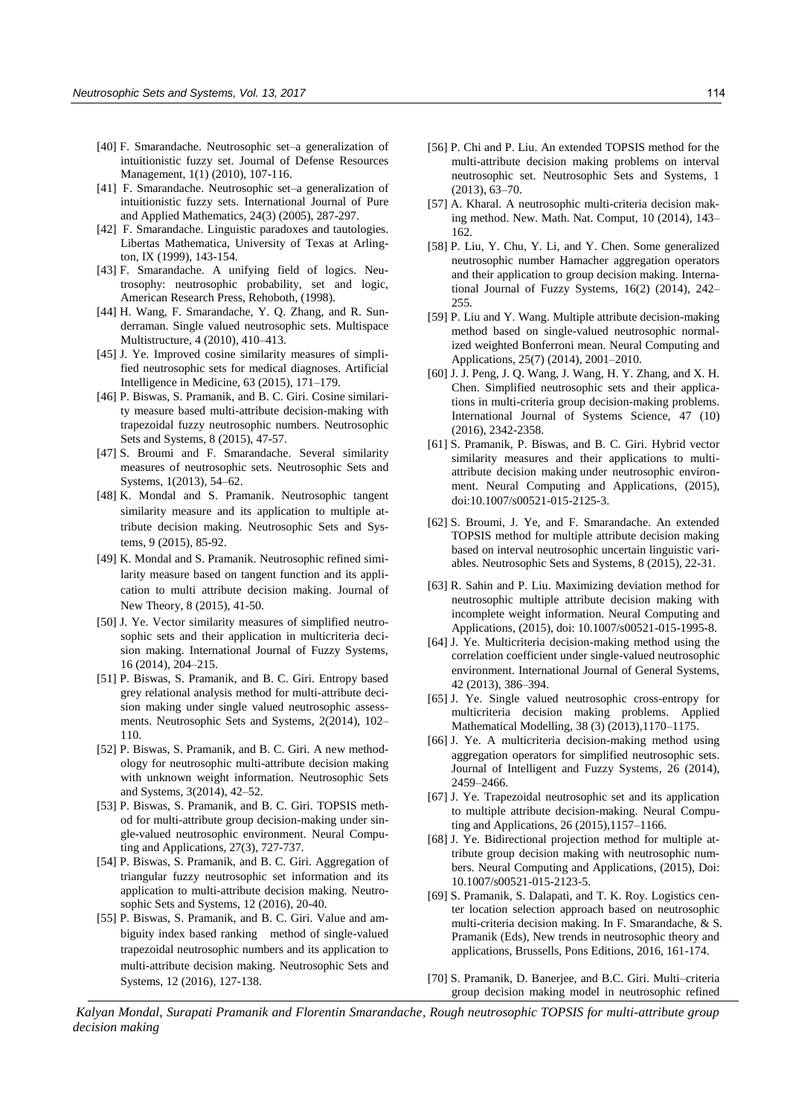- [40] F. Smarandache. Neutrosophic set–a generalization of intuitionistic fuzzy set. Journal of Defense Resources Management, 1(1) (2010), 107-116.
- [41] F. Smarandache. Neutrosophic set–a generalization of intuitionistic fuzzy sets. International Journal of Pure and Applied Mathematics, 24(3) (2005), 287-297.
- [42] F. Smarandache. Linguistic paradoxes and tautologies. Libertas Mathematica, University of Texas at Arlington, IX (1999), 143-154.
- [43] F. Smarandache. A unifying field of logics. Neutrosophy: neutrosophic probability, set and logic, American Research Press, Rehoboth, (1998).
- [44] H. Wang, F. Smarandache, Y. Q. Zhang, and R. Sunderraman. Single valued neutrosophic sets. Multispace Multistructure, 4 (2010), 410–413.
- [45] J. Ye. Improved cosine similarity measures of simplified neutrosophic sets for medical diagnoses. Artificial Intelligence in Medicine, 63 (2015), 171–179.
- [46] P. Biswas, S. Pramanik, and B. C. Giri. Cosine similarity measure based multi-attribute decision-making with trapezoidal fuzzy neutrosophic numbers. Neutrosophic Sets and Systems, 8 (2015), 47-57.
- [47] S. Broumi and F. Smarandache. Several similarity measures of neutrosophic sets. Neutrosophic Sets and Systems, 1(2013), 54–62.
- [48] K. Mondal and S. Pramanik. Neutrosophic tangent similarity measure and its application to multiple attribute decision making. Neutrosophic Sets and Systems, 9 (2015), 85-92.
- [49] K. Mondal and S. Pramanik. Neutrosophic refined similarity measure based on tangent function and its application to multi attribute decision making. Journal of New Theory, 8 (2015), 41-50.
- [50] J. Ye. Vector similarity measures of simplified neutrosophic sets and their application in multicriteria decision making. International Journal of Fuzzy Systems, 16 (2014), 204–215.
- [51] P. Biswas, S. Pramanik, and B. C. Giri. Entropy based grey relational analysis method for multi-attribute decision making under single valued neutrosophic assessments. Neutrosophic Sets and Systems, 2(2014), 102– 110.
- [52] P. Biswas, S. Pramanik, and B. C. Giri. A new methodology for neutrosophic multi-attribute decision making with unknown weight information. Neutrosophic Sets and Systems, 3(2014), 42–52.
- [53] P. Biswas, S. Pramanik, and B. C. Giri. TOPSIS method for multi-attribute group decision-making under single-valued neutrosophic environment. Neural Computing and Applications, 27(3), 727-737.
- [54] P. Biswas, S. Pramanik, and B. C. Giri. Aggregation of triangular fuzzy neutrosophic set information and its application to multi-attribute decision making. Neutrosophic Sets and Systems, 12 (2016), 20-40.
- [55] P. Biswas, S. Pramanik, and B. C. Giri. Value and ambiguity index based ranking method of single-valued trapezoidal neutrosophic numbers and its application to multi-attribute decision making. Neutrosophic Sets and Systems, 12 (2016), 127-138.
- [56] P. Chi and P. Liu. An extended TOPSIS method for the multi-attribute decision making problems on interval neutrosophic set. Neutrosophic Sets and Systems, 1 (2013), 63–70.
- [57] A. Kharal. A neutrosophic multi-criteria decision making method. New. Math. Nat. Comput, 10 (2014), 143– 162.
- [58] P. Liu, Y. Chu, Y. Li, and Y. Chen. Some generalized neutrosophic number Hamacher aggregation operators and their application to group decision making. International Journal of Fuzzy Systems, 16(2) (2014), 242– 255.
- [59] P. Liu and Y. Wang. Multiple attribute decision-making method based on single-valued neutrosophic normalized weighted Bonferroni mean. Neural Computing and Applications, 25(7) (2014), 2001–2010.
- [60] J. J. Peng, J. Q. Wang, J. Wang, H. Y. Zhang, and X. H. Chen. Simplified neutrosophic sets and their applications in multi-criteria group decision-making problems. International Journal of Systems Science, 47 (10) (2016), 2342-2358.
- [61] S. Pramanik, P. Biswas, and B. C. Giri. Hybrid vector similarity measures and their applications to multiattribute decision making under neutrosophic environment. Neural Computing and Applications, (2015), doi:10.1007/s00521-015-2125-3.
- [62] S. Broumi, J. Ye, and F. Smarandache. An extended TOPSIS method for multiple attribute decision making based on interval neutrosophic uncertain linguistic variables. Neutrosophic Sets and Systems, 8 (2015), 22-31.
- [63] R. Sahin and P. Liu. Maximizing deviation method for neutrosophic multiple attribute decision making with incomplete weight information. Neural Computing and Applications, (2015), doi: 10.1007/s00521-015-1995-8.
- [64] J. Ye. Multicriteria decision-making method using the correlation coefficient under single-valued neutrosophic environment. International Journal of General Systems, 42 (2013), 386–394.
- [65] J. Ye. Single valued neutrosophic cross-entropy for multicriteria decision making problems. Applied Mathematical Modelling, 38 (3) (2013),1170–1175.
- [66] J. Ye. A multicriteria decision-making method using aggregation operators for simplified neutrosophic sets. Journal of Intelligent and Fuzzy Systems, 26 (2014), 2459–2466.
- [67] J. Ye. Trapezoidal neutrosophic set and its application to multiple attribute decision-making. Neural Computing and Applications, 26 (2015),1157–1166.
- [68] J. Ye. Bidirectional projection method for multiple attribute group decision making with neutrosophic numbers. Neural Computing and Applications, (2015), Doi: 10.1007/s00521-015-2123-5.
- [69] S. Pramanik, S. Dalapati, and T. K. Roy. Logistics center location selection approach based on neutrosophic multi-criteria decision making. In F. Smarandache, & S. Pramanik (Eds), New trends in neutrosophic theory and applications, Brussells, Pons Editions, 2016, 161-174.
- [70] S. Pramanik, D. Banerjee, and B.C. Giri. Multi–criteria group decision making model in neutrosophic refined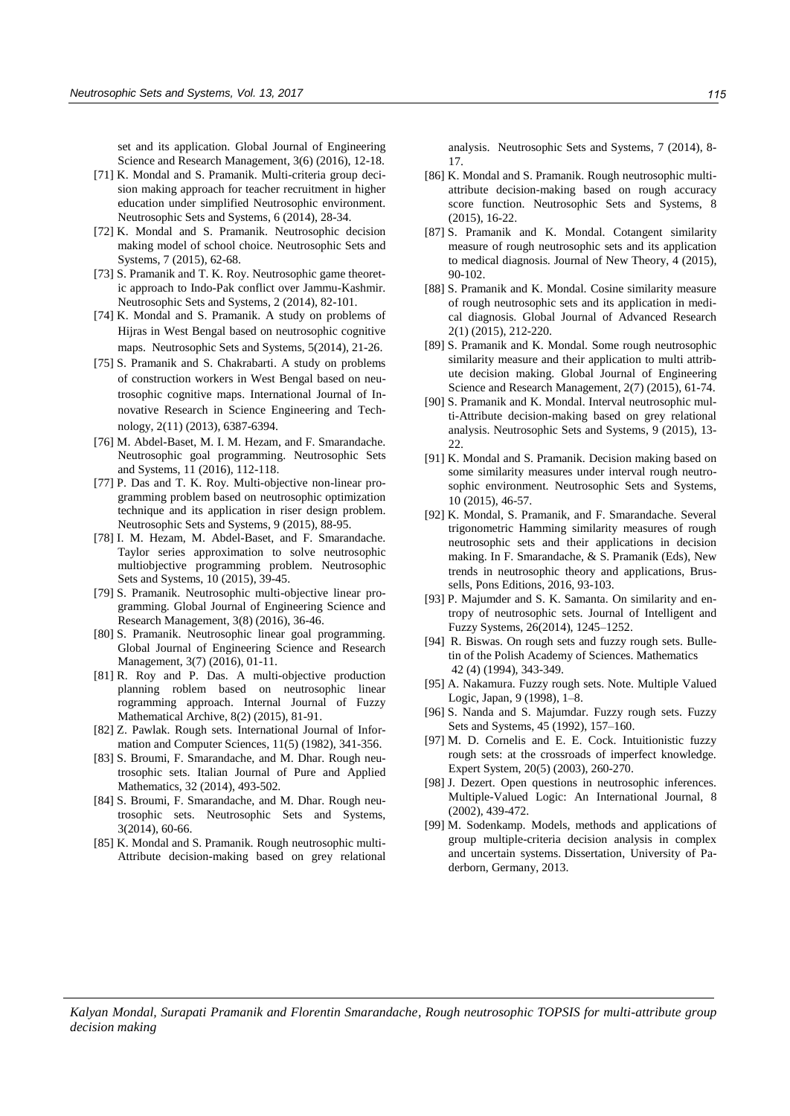set and its application. Global Journal of Engineering Science and Research Management, 3(6) (2016), 12-18.

- [71] K. Mondal and S. Pramanik. Multi-criteria group decision making approach for teacher recruitment in higher education under simplified Neutrosophic environment. Neutrosophic Sets and Systems, 6 (2014), 28-34.
- [72] K. Mondal and S. Pramanik. Neutrosophic decision making model of school choice. Neutrosophic Sets and Systems, 7 (2015), 62-68.
- [73] S. Pramanik and T. K. Roy. Neutrosophic game theoretic approach to Indo-Pak conflict over Jammu-Kashmir. Neutrosophic Sets and Systems, 2 (2014), 82-101.
- [74] K. Mondal and S. Pramanik. A study on problems of Hijras in West Bengal based on neutrosophic cognitive maps. Neutrosophic Sets and Systems, 5(2014), 21-26.
- [75] S. Pramanik and S. Chakrabarti. A study on problems of construction workers in West Bengal based on neutrosophic cognitive maps. International Journal of Innovative Research in Science Engineering and Technology, 2(11) (2013), 6387-6394.
- [76] [M. Abdel-Baset, M. I. M. Hezam, and F. Smarandache.](http://fs.gallup.unm.edu/NSS/NeutrosophicGoalProgramming.pdf)  [Neutrosophic goal programming. Neutrosophic Sets](http://fs.gallup.unm.edu/NSS/NeutrosophicGoalProgramming.pdf)  [and Systems, 11 \(2016\), 112-118.](http://fs.gallup.unm.edu/NSS/NeutrosophicGoalProgramming.pdf)
- [77] P. Das and T. K. Roy. Multi-objective non-linear programming problem based on neutrosophic optimization technique and its application in riser design problem. Neutrosophic Sets and Systems, 9 (2015), 88-95.
- [78] I. M. [Hezam, M. Abdel-Baset, and F. Smarandache.](http://fs.gallup.unm.edu/NSS/TaylorSeriesApproximation.pdf)  [Taylor series approximation to solve neutrosophic](http://fs.gallup.unm.edu/NSS/TaylorSeriesApproximation.pdf)  [multiobjective programming problem. Neutrosophic](http://fs.gallup.unm.edu/NSS/TaylorSeriesApproximation.pdf)  [Sets and Systems, 10 \(2015\), 39-45.](http://fs.gallup.unm.edu/NSS/TaylorSeriesApproximation.pdf)
- [79] S. Pramanik. Neutrosophic multi-objective linear programming. Global Journal of Engineering Science and Research Management, 3(8) (2016), 36-46.
- [80] S. Pramanik. Neutrosophic linear goal programming. Global Journal of Engineering Science and Research Management, 3(7) (2016), 01-11.
- [81] R. Roy and P. Das. A multi-objective production planning roblem based on neutrosophic linear rogramming approach. Internal Journal of Fuzzy Mathematical Archive, 8(2) (2015), 81-91.
- [82] Z. Pawlak. Rough sets. International Journal of Information and Computer Sciences, 11(5) (1982), 341-356.
- [83] S. Broumi, F. Smarandache, and M. Dhar. Rough neutrosophic sets. Italian Journal of Pure and Applied Mathematics, 32 (2014), 493-502.
- [84] S. Broumi, F. Smarandache, and M. Dhar. Rough neutrosophic sets. Neutrosophic Sets and Systems, 3(2014), 60-66.
- [85] K. Mondal and S. Pramanik. Rough neutrosophic multi-Attribute decision-making based on grey relational

analysis. Neutrosophic Sets and Systems, 7 (2014), 8- 17.

- [86] K. Mondal and S. Pramanik. Rough neutrosophic multiattribute decision-making based on rough accuracy score function. Neutrosophic Sets and Systems, 8 (2015), 16-22.
- [87] S. Pramanik and K. Mondal. Cotangent similarity measure of rough neutrosophic sets and its application to medical diagnosis. Journal of New Theory, 4 (2015), 90-102.
- [88] S. Pramanik and K. Mondal. Cosine similarity measure of rough neutrosophic sets and its application in medical diagnosis. Global Journal of Advanced Research 2(1) (2015), 212-220.
- [89] S. Pramanik and K. Mondal. Some rough neutrosophic similarity measure and their application to multi attribute decision making. Global Journal of Engineering Science and Research Management, 2(7) (2015), 61-74.
- [90] S. Pramanik and K. Mondal. Interval neutrosophic multi-Attribute decision-making based on grey relational analysis. Neutrosophic Sets and Systems, 9 (2015), 13-  $22$
- [91] K. Mondal and S. Pramanik. Decision making based on some similarity measures under interval rough neutrosophic environment. Neutrosophic Sets and Systems, 10 (2015), 46-57.
- [92] K. Mondal, S. Pramanik, and F. Smarandache. Several trigonometric Hamming similarity measures of rough neutrosophic sets and their applications in decision making. In F. Smarandache, & S. Pramanik (Eds), New trends in neutrosophic theory and applications, Brussells, Pons Editions, 2016, 93-103.
- [93] P. Majumder and S. K. Samanta. On similarity and entropy of neutrosophic sets. Journal of Intelligent and Fuzzy Systems, 26(2014), 1245–1252.
- [94] R. Biswas. On rough sets and fuzzy rough sets. Bulletin of the Polish Academy of Sciences. Mathematics 42 (4) (1994), 343-349.
- [95] A. Nakamura. Fuzzy rough sets. Note. Multiple Valued Logic, Japan, 9 (1998), 1–8.
- [96] S. Nanda and S. Majumdar. Fuzzy rough sets. Fuzzy Sets and Systems, 45 (1992), 157–160.
- [97] M. D. Cornelis and E. E. Cock. Intuitionistic fuzzy rough sets: at the crossroads of imperfect knowledge. Expert System, 20(5) (2003), 260-270.
- [98] J. Dezert. Open questions in neutrosophic inferences. Multiple-Valued Logic: An International Journal, 8 (2002), 439-472.
- [99] M. Sodenkamp. Models, methods and applications of group multiple-criteria decision analysis in complex and uncertain systems. Dissertation, University of Paderborn, Germany, 2013.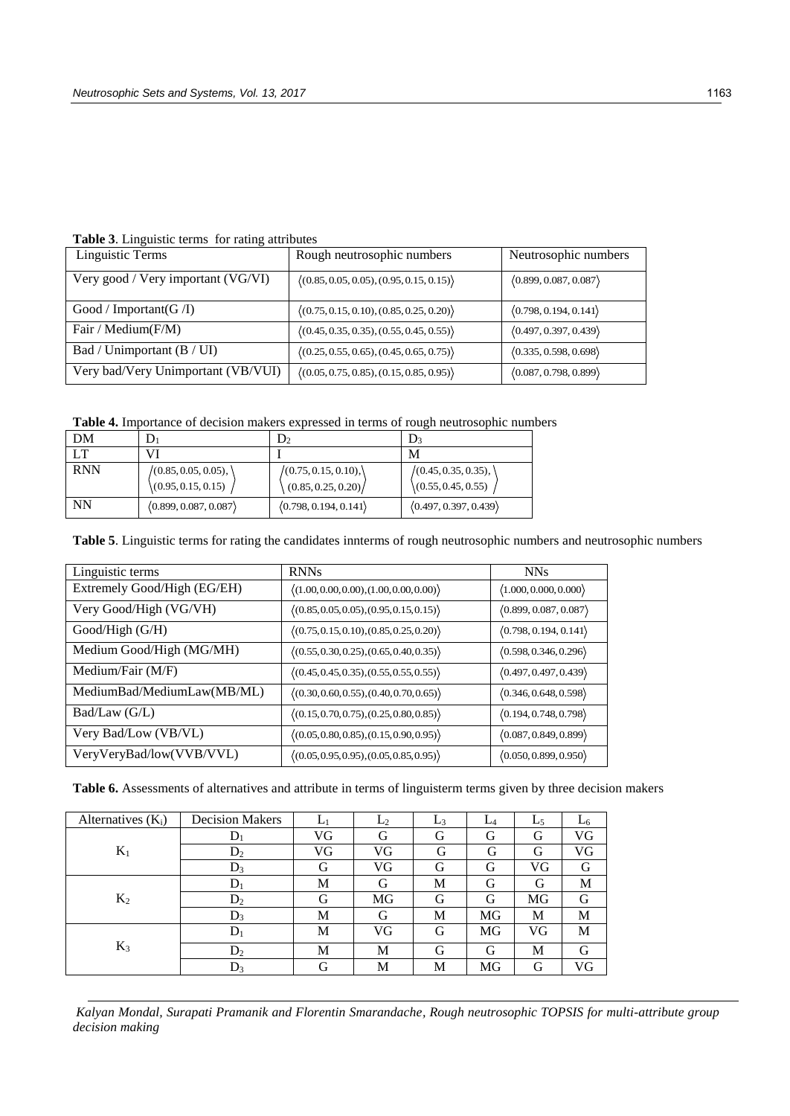**Table 3**. Linguistic terms for rating attributes

| Linguistic Terms                   | Rough neutrosophic numbers                               | Neutrosophic numbers  |
|------------------------------------|----------------------------------------------------------|-----------------------|
| Very good / Very important (VG/VI) | $\langle (0.85, 0.05, 0.05), (0.95, 0.15, 0.15) \rangle$ | (0.899, 0.087, 0.087) |
| Good / Important(G / I)            | $\langle (0.75, 0.15, 0.10), (0.85, 0.25, 0.20) \rangle$ | (0.798, 0.194, 0.141) |
| Fair / Medium(F/M)                 | $\langle (0.45, 0.35, 0.35), (0.55, 0.45, 0.55) \rangle$ | (0.497, 0.397, 0.439) |
| Bad / Unimportant (B / UI)         | $\langle (0.25, 0.55, 0.65), (0.45, 0.65, 0.75) \rangle$ | (0.335, 0.598, 0.698) |
| Very bad/Very Unimportant (VB/VUI) | $\langle (0.05, 0.75, 0.85), (0.15, 0.85, 0.95) \rangle$ | (0.087, 0.798, 0.899) |

**Table 4.** Importance of decision makers expressed in terms of rough neutrosophic numbers

| DM         |                        |                       |                       |
|------------|------------------------|-----------------------|-----------------------|
| LT         |                        |                       | M                     |
| <b>RNN</b> | $(0.85, 0.05, 0.05)$ , | /(0.75, 0.15, 0.10),  | /(0.45, 0.35, 0.35),  |
|            | (0.95, 0.15, 0.15)     | (0.85, 0.25, 0.20)    | (0.55, 0.45, 0.55)    |
| <b>NN</b>  | (0.899, 0.087, 0.087)  | (0.798, 0.194, 0.141) | (0.497, 0.397, 0.439) |

**Table 5**. Linguistic terms for rating the candidates innterms of rough neutrosophic numbers and neutrosophic numbers

| Linguistic terms            | <b>RNNs</b>                                              | <b>NNs</b>                            |
|-----------------------------|----------------------------------------------------------|---------------------------------------|
| Extremely Good/High (EG/EH) | $\langle (1.00, 0.00, 0.00), (1.00, 0.00, 0.00) \rangle$ | $\langle 1.000, 0.000, 0.000 \rangle$ |
| Very Good/High (VG/VH)      | $\langle (0.85, 0.05, 0.05), (0.95, 0.15, 0.15) \rangle$ | (0.899, 0.087, 0.087)                 |
| Good/High(G/H)              | $\langle (0.75, 0.15, 0.10), (0.85, 0.25, 0.20) \rangle$ | (0.798, 0.194, 0.141)                 |
| Medium Good/High (MG/MH)    | $\langle (0.55, 0.30, 0.25), (0.65, 0.40, 0.35) \rangle$ | (0.598, 0.346, 0.296)                 |
| Medium/Fair (M/F)           | $\langle (0.45, 0.45, 0.35), (0.55, 0.55, 0.55) \rangle$ | (0.497, 0.497, 0.439)                 |
| MediumBad/MediumLaw(MB/ML)  | $\langle (0.30, 0.60, 0.55), (0.40, 0.70, 0.65) \rangle$ | (0.346, 0.648, 0.598)                 |
| Bad/Law(G/L)                | $\langle (0.15, 0.70, 0.75), (0.25, 0.80, 0.85) \rangle$ | (0.194, 0.748, 0.798)                 |
| Very Bad/Low (VB/VL)        | $\langle (0.05, 0.80, 0.85), (0.15, 0.90, 0.95) \rangle$ | (0.087, 0.849, 0.899)                 |
| VeryVeryBad/low(VVB/VVL)    | $\langle (0.05, 0.95, 0.95), (0.05, 0.85, 0.95) \rangle$ | (0.050, 0.899, 0.950)                 |

**Table 6.** Assessments of alternatives and attribute in terms of linguisterm terms given by three decision makers

| Alternatives $(K_i)$ | <b>Decision Makers</b> | L١ | L <sub>2</sub> | $L_3$ | $L_4$ | L5 | L6 |
|----------------------|------------------------|----|----------------|-------|-------|----|----|
|                      | $\mathbf{D}_1$         | VG | G              | G     | G     | G  | VG |
| $K_1$                | $D_2$                  | VG | VG             | G     | G     | G  | VG |
|                      | $D_3$                  | G  | VG             | G     | G     | VG | G  |
| $K_2$                |                        | M  | G              | М     | G     | G  | M  |
|                      | $D_2$                  | G  | MG             | G     | G     | MG | G  |
|                      | $D_3$                  | M  | G              | М     | MG    | М  | М  |
| $K_3$                | Dı                     | М  | VG             | G     | MG    | VG | М  |
|                      | $D_2$                  | М  | М              | G     | G     | М  | G  |
|                      | $\mathrm{D}_3$         | G  | М              | M     | MG    | G  | VG |